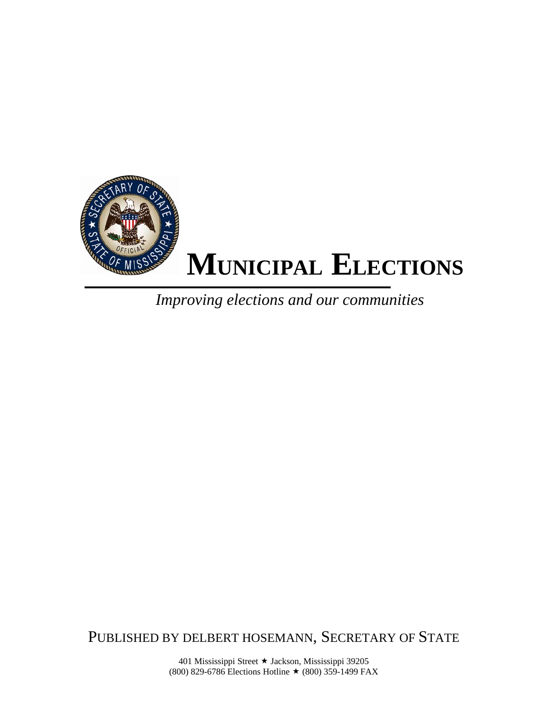

*Improving elections and our communities*

PUBLISHED BY DELBERT HOSEMANN, SECRETARY OF STATE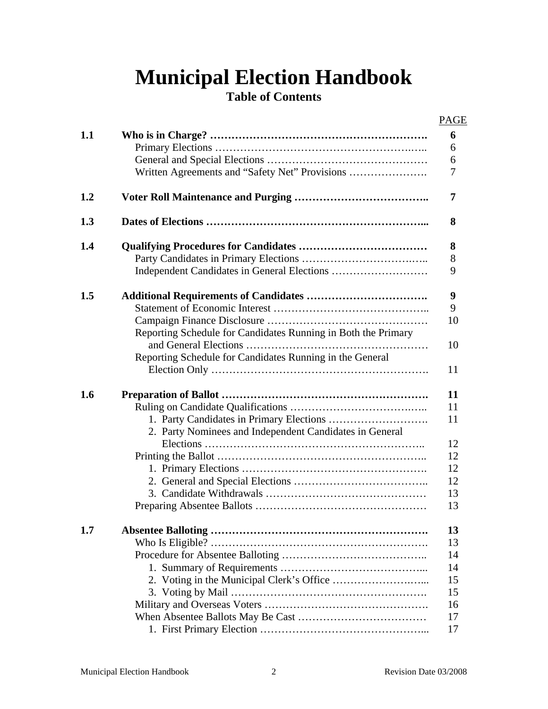# **Municipal Election Handbook**

# **Table of Contents**

|     |                                                               | <b>PAGE</b> |
|-----|---------------------------------------------------------------|-------------|
| 1.1 |                                                               | 6           |
|     |                                                               | 6           |
|     |                                                               | 6           |
|     | Written Agreements and "Safety Net" Provisions                | 7           |
| 1.2 |                                                               | 7           |
| 1.3 |                                                               | 8           |
| 1.4 |                                                               | 8           |
|     |                                                               | 8           |
|     |                                                               | 9           |
| 1.5 |                                                               | 9           |
|     |                                                               | 9           |
|     |                                                               | 10          |
|     | Reporting Schedule for Candidates Running in Both the Primary |             |
|     |                                                               | 10          |
|     | Reporting Schedule for Candidates Running in the General      |             |
|     |                                                               | 11          |
| 1.6 |                                                               | 11          |
|     |                                                               | 11          |
|     |                                                               | 11          |
|     | 2. Party Nominees and Independent Candidates in General       |             |
|     |                                                               | 12          |
|     |                                                               | 12          |
|     |                                                               | 12          |
|     |                                                               | 12          |
|     |                                                               | 13          |
|     |                                                               | 13          |
| 1.7 |                                                               | 13          |
|     |                                                               | 13          |
|     |                                                               | 14          |
|     |                                                               | 14          |
|     |                                                               | 15          |
|     |                                                               | 15          |
|     |                                                               | 16          |
|     |                                                               | 17          |
|     |                                                               | 17          |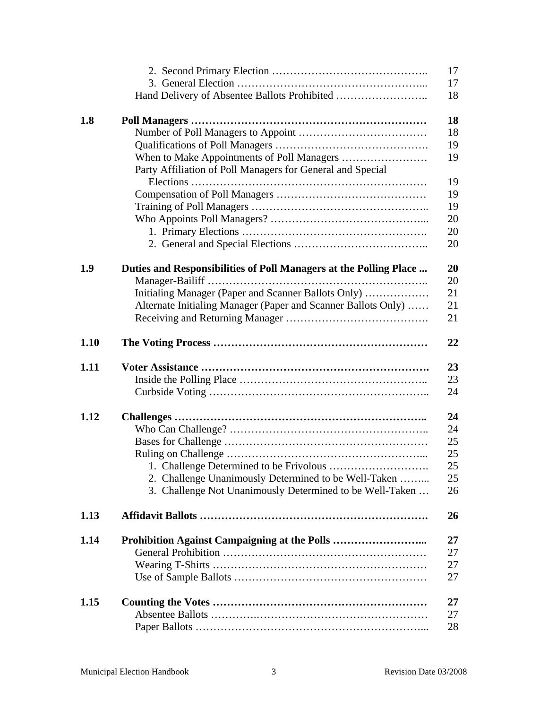|      |                                                                   | 17       |
|------|-------------------------------------------------------------------|----------|
|      |                                                                   | 17       |
|      |                                                                   | 18       |
| 1.8  |                                                                   | 18       |
|      |                                                                   | 18       |
|      |                                                                   | 19       |
|      |                                                                   | 19       |
|      | Party Affiliation of Poll Managers for General and Special        | 19       |
|      |                                                                   | 19       |
|      |                                                                   | 19       |
|      |                                                                   | 20       |
|      |                                                                   | 20       |
|      |                                                                   | 20       |
|      |                                                                   |          |
| 1.9  | Duties and Responsibilities of Poll Managers at the Polling Place | 20<br>20 |
|      |                                                                   | 21       |
|      | Initialing Manager (Paper and Scanner Ballots Only)               | 21       |
|      | Alternate Initialing Manager (Paper and Scanner Ballots Only)     | 21       |
|      |                                                                   |          |
| 1.10 |                                                                   | 22       |
| 1.11 |                                                                   | 23       |
|      |                                                                   | 23       |
|      |                                                                   | 24       |
| 1.12 |                                                                   | 24       |
|      |                                                                   | 24       |
|      |                                                                   | 25       |
|      |                                                                   | 25       |
|      |                                                                   | 25       |
|      | 2. Challenge Unanimously Determined to be Well-Taken              | 25       |
|      | 3. Challenge Not Unanimously Determined to be Well-Taken          | 26       |
| 1.13 |                                                                   | 26       |
| 1.14 |                                                                   | 27       |
|      |                                                                   | 27       |
|      |                                                                   | 27       |
|      |                                                                   | 27       |
|      |                                                                   |          |
| 1.15 |                                                                   | 27       |
|      |                                                                   | 27       |
|      |                                                                   | 28       |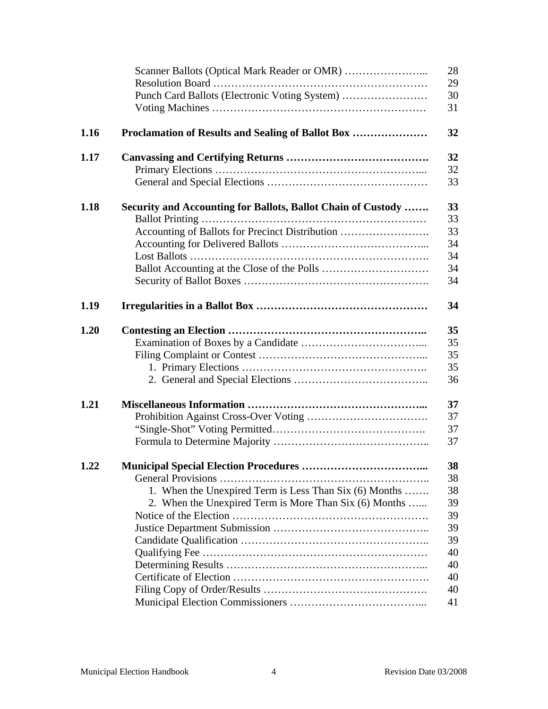|      |                                                              | 28 |
|------|--------------------------------------------------------------|----|
|      |                                                              | 29 |
|      | Punch Card Ballots (Electronic Voting System)                | 30 |
|      |                                                              | 31 |
| 1.16 | Proclamation of Results and Sealing of Ballot Box            | 32 |
| 1.17 |                                                              | 32 |
|      |                                                              | 32 |
|      |                                                              | 33 |
| 1.18 | Security and Accounting for Ballots, Ballot Chain of Custody | 33 |
|      |                                                              | 33 |
|      | Accounting of Ballots for Precinct Distribution              | 33 |
|      |                                                              | 34 |
|      |                                                              | 34 |
|      |                                                              | 34 |
|      |                                                              | 34 |
| 1.19 |                                                              | 34 |
| 1.20 |                                                              | 35 |
|      |                                                              | 35 |
|      |                                                              | 35 |
|      |                                                              | 35 |
|      |                                                              | 36 |
| 1.21 |                                                              | 37 |
|      |                                                              | 37 |
|      |                                                              | 37 |
|      |                                                              | 37 |
| 1.22 |                                                              | 38 |
|      |                                                              | 38 |
|      | 1. When the Unexpired Term is Less Than Six (6) Months       | 38 |
|      | 2. When the Unexpired Term is More Than Six (6) Months       | 39 |
|      |                                                              | 39 |
|      |                                                              | 39 |
|      |                                                              | 39 |
|      |                                                              | 40 |
|      |                                                              | 40 |
|      |                                                              | 40 |
|      |                                                              | 40 |
|      |                                                              | 41 |
|      |                                                              |    |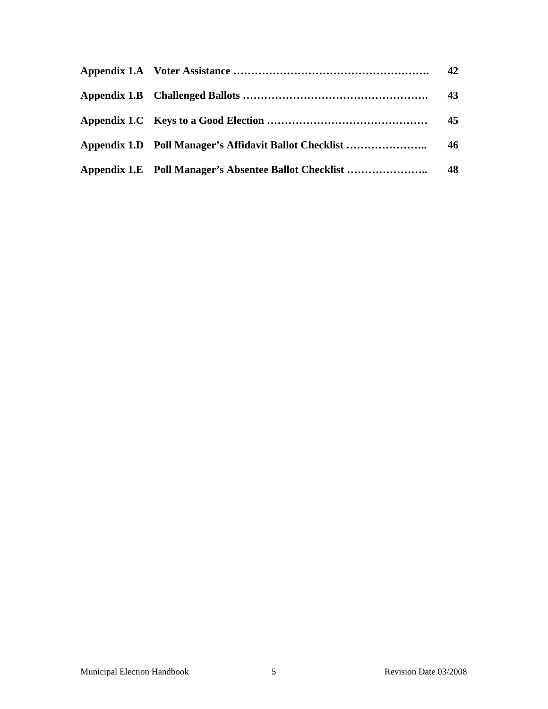|                                                       | 42 |
|-------------------------------------------------------|----|
|                                                       | 43 |
|                                                       | 45 |
|                                                       |    |
| Appendix 1.E Poll Manager's Absentee Ballot Checklist | 48 |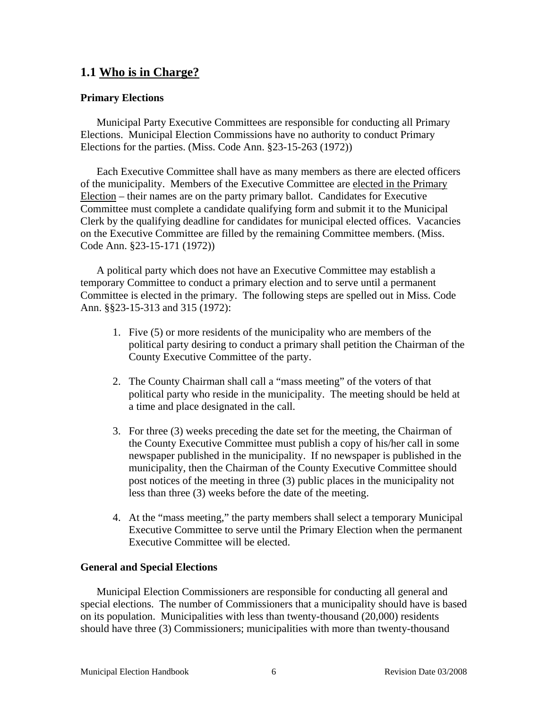# **1.1 Who is in Charge?**

## **Primary Elections**

Municipal Party Executive Committees are responsible for conducting all Primary Elections. Municipal Election Commissions have no authority to conduct Primary Elections for the parties. (Miss. Code Ann. §23-15-263 (1972))

Each Executive Committee shall have as many members as there are elected officers of the municipality. Members of the Executive Committee are elected in the Primary Election – their names are on the party primary ballot. Candidates for Executive Committee must complete a candidate qualifying form and submit it to the Municipal Clerk by the qualifying deadline for candidates for municipal elected offices. Vacancies on the Executive Committee are filled by the remaining Committee members. (Miss. Code Ann. §23-15-171 (1972))

A political party which does not have an Executive Committee may establish a temporary Committee to conduct a primary election and to serve until a permanent Committee is elected in the primary. The following steps are spelled out in Miss. Code Ann. §§23-15-313 and 315 (1972):

- 1. Five (5) or more residents of the municipality who are members of the political party desiring to conduct a primary shall petition the Chairman of the County Executive Committee of the party.
- 2. The County Chairman shall call a "mass meeting" of the voters of that political party who reside in the municipality. The meeting should be held at a time and place designated in the call.
- 3. For three (3) weeks preceding the date set for the meeting, the Chairman of the County Executive Committee must publish a copy of his/her call in some newspaper published in the municipality. If no newspaper is published in the municipality, then the Chairman of the County Executive Committee should post notices of the meeting in three (3) public places in the municipality not less than three (3) weeks before the date of the meeting.
- 4. At the "mass meeting," the party members shall select a temporary Municipal Executive Committee to serve until the Primary Election when the permanent Executive Committee will be elected.

#### **General and Special Elections**

Municipal Election Commissioners are responsible for conducting all general and special elections. The number of Commissioners that a municipality should have is based on its population. Municipalities with less than twenty-thousand (20,000) residents should have three (3) Commissioners; municipalities with more than twenty-thousand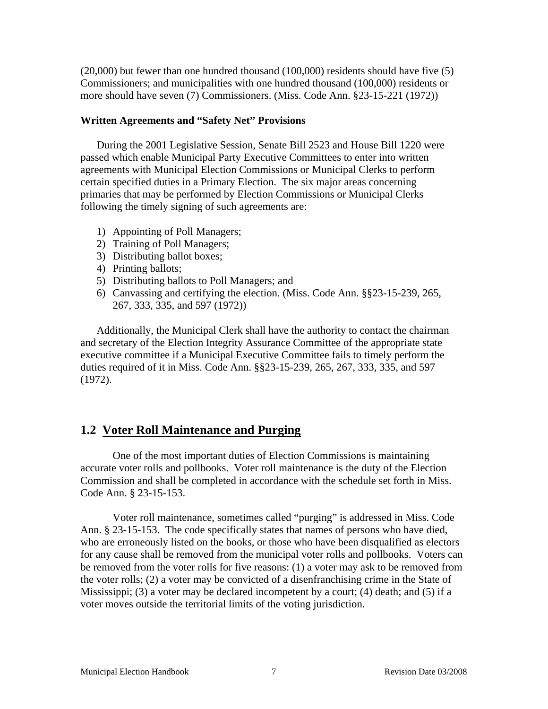(20,000) but fewer than one hundred thousand (100,000) residents should have five (5) Commissioners; and municipalities with one hundred thousand (100,000) residents or more should have seven (7) Commissioners. (Miss. Code Ann. §23-15-221 (1972))

#### **Written Agreements and "Safety Net" Provisions**

During the 2001 Legislative Session, Senate Bill 2523 and House Bill 1220 were passed which enable Municipal Party Executive Committees to enter into written agreements with Municipal Election Commissions or Municipal Clerks to perform certain specified duties in a Primary Election. The six major areas concerning primaries that may be performed by Election Commissions or Municipal Clerks following the timely signing of such agreements are:

- 1) Appointing of Poll Managers;
- 2) Training of Poll Managers;
- 3) Distributing ballot boxes;
- 4) Printing ballots;
- 5) Distributing ballots to Poll Managers; and
- 6) Canvassing and certifying the election. (Miss. Code Ann. §§23-15-239, 265, 267, 333, 335, and 597 (1972))

Additionally, the Municipal Clerk shall have the authority to contact the chairman and secretary of the Election Integrity Assurance Committee of the appropriate state executive committee if a Municipal Executive Committee fails to timely perform the duties required of it in Miss. Code Ann. §§23-15-239, 265, 267, 333, 335, and 597 (1972).

# **1.2 Voter Roll Maintenance and Purging**

One of the most important duties of Election Commissions is maintaining accurate voter rolls and pollbooks. Voter roll maintenance is the duty of the Election Commission and shall be completed in accordance with the schedule set forth in Miss. Code Ann. § 23-15-153.

 Voter roll maintenance, sometimes called "purging" is addressed in Miss. Code Ann. § 23-15-153. The code specifically states that names of persons who have died, who are erroneously listed on the books, or those who have been disqualified as electors for any cause shall be removed from the municipal voter rolls and pollbooks. Voters can be removed from the voter rolls for five reasons: (1) a voter may ask to be removed from the voter rolls; (2) a voter may be convicted of a disenfranchising crime in the State of Mississippi; (3) a voter may be declared incompetent by a court; (4) death; and (5) if a voter moves outside the territorial limits of the voting jurisdiction.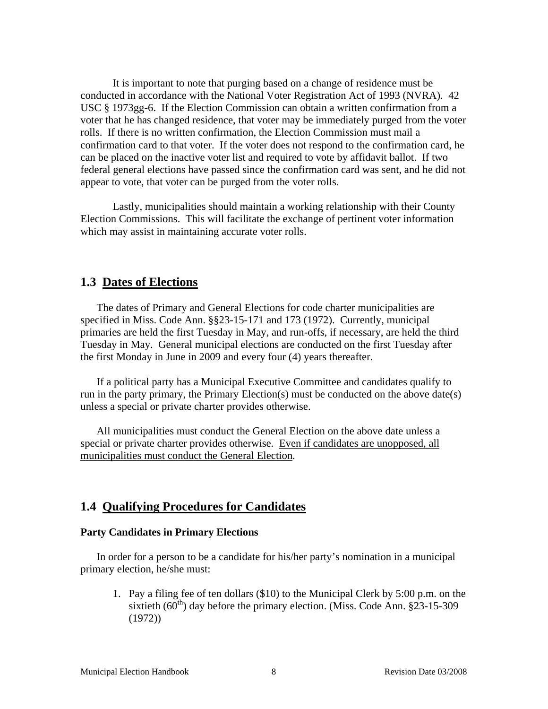It is important to note that purging based on a change of residence must be conducted in accordance with the National Voter Registration Act of 1993 (NVRA). 42 USC § 1973gg-6. If the Election Commission can obtain a written confirmation from a voter that he has changed residence, that voter may be immediately purged from the voter rolls. If there is no written confirmation, the Election Commission must mail a confirmation card to that voter. If the voter does not respond to the confirmation card, he can be placed on the inactive voter list and required to vote by affidavit ballot. If two federal general elections have passed since the confirmation card was sent, and he did not appear to vote, that voter can be purged from the voter rolls.

 Lastly, municipalities should maintain a working relationship with their County Election Commissions. This will facilitate the exchange of pertinent voter information which may assist in maintaining accurate voter rolls.

## **1.3 Dates of Elections**

The dates of Primary and General Elections for code charter municipalities are specified in Miss. Code Ann. §§23-15-171 and 173 (1972). Currently, municipal primaries are held the first Tuesday in May, and run-offs, if necessary, are held the third Tuesday in May. General municipal elections are conducted on the first Tuesday after the first Monday in June in 2009 and every four (4) years thereafter.

If a political party has a Municipal Executive Committee and candidates qualify to run in the party primary, the Primary Election(s) must be conducted on the above date(s) unless a special or private charter provides otherwise.

All municipalities must conduct the General Election on the above date unless a special or private charter provides otherwise. Even if candidates are unopposed, all municipalities must conduct the General Election.

## **1.4 Qualifying Procedures for Candidates**

#### **Party Candidates in Primary Elections**

In order for a person to be a candidate for his/her party's nomination in a municipal primary election, he/she must:

1. Pay a filing fee of ten dollars (\$10) to the Municipal Clerk by 5:00 p.m. on the sixtieth  $(60<sup>th</sup>)$  day before the primary election. (Miss. Code Ann. §23-15-309 (1972))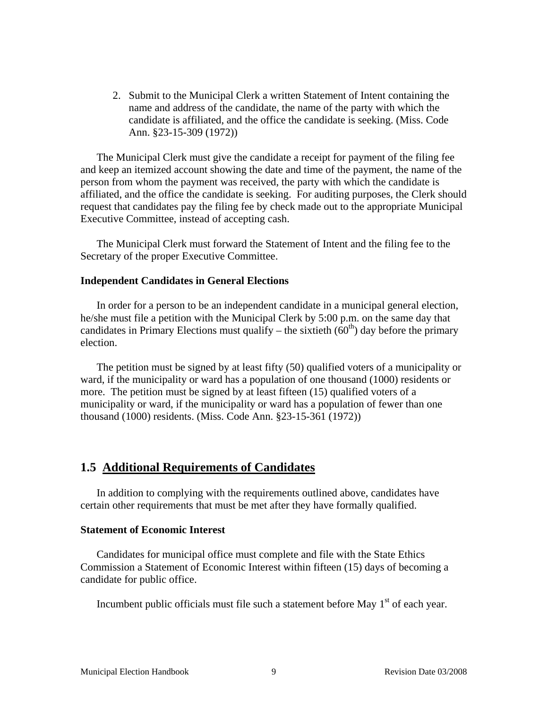2. Submit to the Municipal Clerk a written Statement of Intent containing the name and address of the candidate, the name of the party with which the candidate is affiliated, and the office the candidate is seeking. (Miss. Code Ann. §23-15-309 (1972))

The Municipal Clerk must give the candidate a receipt for payment of the filing fee and keep an itemized account showing the date and time of the payment, the name of the person from whom the payment was received, the party with which the candidate is affiliated, and the office the candidate is seeking. For auditing purposes, the Clerk should request that candidates pay the filing fee by check made out to the appropriate Municipal Executive Committee, instead of accepting cash.

The Municipal Clerk must forward the Statement of Intent and the filing fee to the Secretary of the proper Executive Committee.

#### **Independent Candidates in General Elections**

In order for a person to be an independent candidate in a municipal general election, he/she must file a petition with the Municipal Clerk by 5:00 p.m. on the same day that candidates in Primary Elections must qualify – the sixtieth  $(60<sup>th</sup>)$  day before the primary election.

The petition must be signed by at least fifty (50) qualified voters of a municipality or ward, if the municipality or ward has a population of one thousand (1000) residents or more. The petition must be signed by at least fifteen (15) qualified voters of a municipality or ward, if the municipality or ward has a population of fewer than one thousand (1000) residents. (Miss. Code Ann. §23-15-361 (1972))

## **1.5 Additional Requirements of Candidates**

In addition to complying with the requirements outlined above, candidates have certain other requirements that must be met after they have formally qualified.

#### **Statement of Economic Interest**

Candidates for municipal office must complete and file with the State Ethics Commission a Statement of Economic Interest within fifteen (15) days of becoming a candidate for public office.

Incumbent public officials must file such a statement before May  $1<sup>st</sup>$  of each year.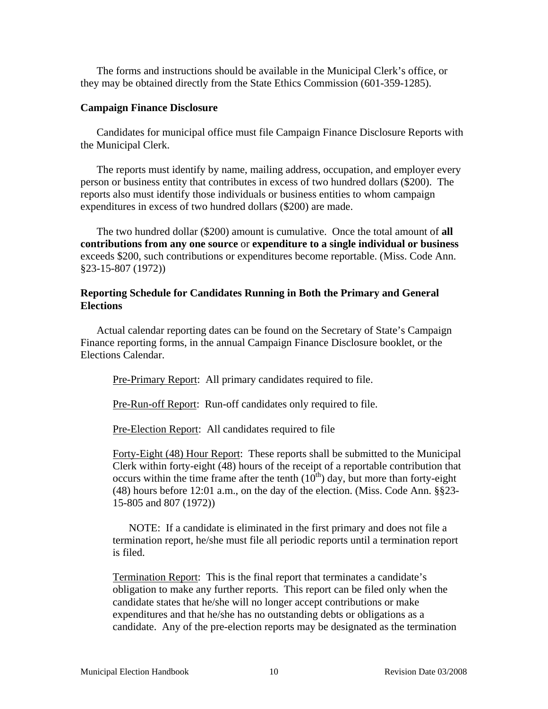The forms and instructions should be available in the Municipal Clerk's office, or they may be obtained directly from the State Ethics Commission (601-359-1285).

#### **Campaign Finance Disclosure**

Candidates for municipal office must file Campaign Finance Disclosure Reports with the Municipal Clerk.

The reports must identify by name, mailing address, occupation, and employer every person or business entity that contributes in excess of two hundred dollars (\$200). The reports also must identify those individuals or business entities to whom campaign expenditures in excess of two hundred dollars (\$200) are made.

The two hundred dollar (\$200) amount is cumulative. Once the total amount of **all contributions from any one source** or **expenditure to a single individual or business** exceeds \$200, such contributions or expenditures become reportable. (Miss. Code Ann. §23-15-807 (1972))

#### **Reporting Schedule for Candidates Running in Both the Primary and General Elections**

Actual calendar reporting dates can be found on the Secretary of State's Campaign Finance reporting forms, in the annual Campaign Finance Disclosure booklet, or the Elections Calendar.

Pre-Primary Report: All primary candidates required to file.

Pre-Run-off Report: Run-off candidates only required to file.

Pre-Election Report: All candidates required to file

 Forty-Eight (48) Hour Report: These reports shall be submitted to the Municipal Clerk within forty-eight (48) hours of the receipt of a reportable contribution that occurs within the time frame after the tenth  $(10<sup>th</sup>)$  day, but more than forty-eight (48) hours before 12:01 a.m., on the day of the election. (Miss. Code Ann. §§23- 15-805 and 807 (1972))

NOTE: If a candidate is eliminated in the first primary and does not file a termination report, he/she must file all periodic reports until a termination report is filed.

 Termination Report: This is the final report that terminates a candidate's obligation to make any further reports. This report can be filed only when the candidate states that he/she will no longer accept contributions or make expenditures and that he/she has no outstanding debts or obligations as a candidate. Any of the pre-election reports may be designated as the termination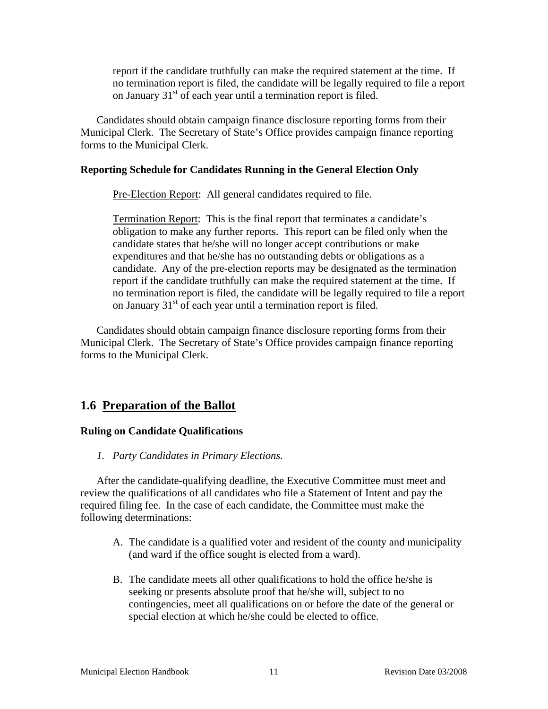report if the candidate truthfully can make the required statement at the time. If no termination report is filed, the candidate will be legally required to file a report on January 31<sup>st</sup> of each year until a termination report is filed.

Candidates should obtain campaign finance disclosure reporting forms from their Municipal Clerk. The Secretary of State's Office provides campaign finance reporting forms to the Municipal Clerk.

## **Reporting Schedule for Candidates Running in the General Election Only**

Pre-Election Report: All general candidates required to file.

Termination Report: This is the final report that terminates a candidate's obligation to make any further reports. This report can be filed only when the candidate states that he/she will no longer accept contributions or make expenditures and that he/she has no outstanding debts or obligations as a candidate. Any of the pre-election reports may be designated as the termination report if the candidate truthfully can make the required statement at the time. If no termination report is filed, the candidate will be legally required to file a report on January  $31<sup>st</sup>$  of each year until a termination report is filed.

Candidates should obtain campaign finance disclosure reporting forms from their Municipal Clerk. The Secretary of State's Office provides campaign finance reporting forms to the Municipal Clerk.

# **1.6 Preparation of the Ballot**

## **Ruling on Candidate Qualifications**

*1. Party Candidates in Primary Elections.* 

After the candidate-qualifying deadline, the Executive Committee must meet and review the qualifications of all candidates who file a Statement of Intent and pay the required filing fee. In the case of each candidate, the Committee must make the following determinations:

- A. The candidate is a qualified voter and resident of the county and municipality (and ward if the office sought is elected from a ward).
- B. The candidate meets all other qualifications to hold the office he/she is seeking or presents absolute proof that he/she will, subject to no contingencies, meet all qualifications on or before the date of the general or special election at which he/she could be elected to office.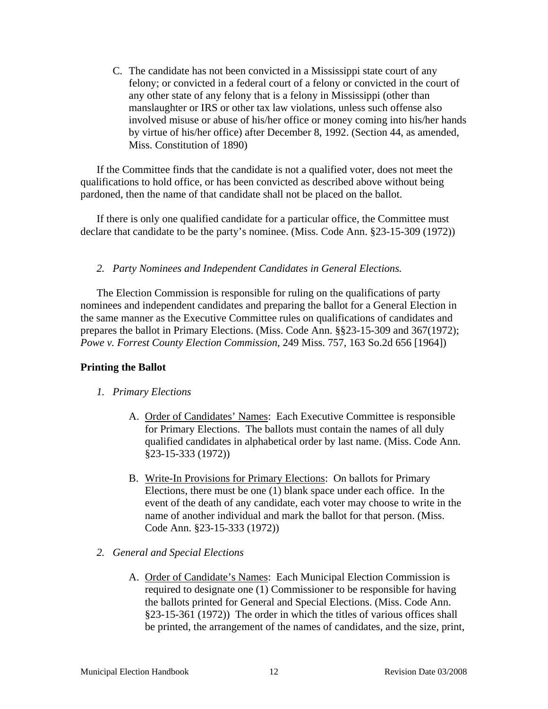C. The candidate has not been convicted in a Mississippi state court of any felony; or convicted in a federal court of a felony or convicted in the court of any other state of any felony that is a felony in Mississippi (other than manslaughter or IRS or other tax law violations, unless such offense also involved misuse or abuse of his/her office or money coming into his/her hands by virtue of his/her office) after December 8, 1992. (Section 44, as amended, Miss. Constitution of 1890)

If the Committee finds that the candidate is not a qualified voter, does not meet the qualifications to hold office, or has been convicted as described above without being pardoned, then the name of that candidate shall not be placed on the ballot.

If there is only one qualified candidate for a particular office, the Committee must declare that candidate to be the party's nominee. (Miss. Code Ann. §23-15-309 (1972))

## *2. Party Nominees and Independent Candidates in General Elections.*

The Election Commission is responsible for ruling on the qualifications of party nominees and independent candidates and preparing the ballot for a General Election in the same manner as the Executive Committee rules on qualifications of candidates and prepares the ballot in Primary Elections. (Miss. Code Ann. §§23-15-309 and 367(1972); *Powe v. Forrest County Election Commission*, 249 Miss. 757, 163 So.2d 656 [1964])

## **Printing the Ballot**

## *1. Primary Elections*

- A. Order of Candidates' Names: Each Executive Committee is responsible for Primary Elections. The ballots must contain the names of all duly qualified candidates in alphabetical order by last name. (Miss. Code Ann. §23-15-333 (1972))
- B. Write-In Provisions for Primary Elections: On ballots for Primary Elections, there must be one (1) blank space under each office. In the event of the death of any candidate, each voter may choose to write in the name of another individual and mark the ballot for that person. (Miss. Code Ann. §23-15-333 (1972))
- *2. General and Special Elections* 
	- A. Order of Candidate's Names: Each Municipal Election Commission is required to designate one (1) Commissioner to be responsible for having the ballots printed for General and Special Elections. (Miss. Code Ann. §23-15-361 (1972)) The order in which the titles of various offices shall be printed, the arrangement of the names of candidates, and the size, print,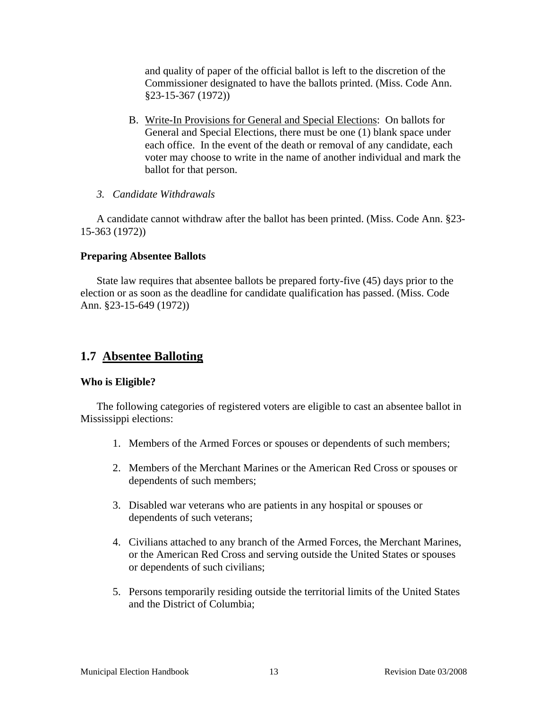and quality of paper of the official ballot is left to the discretion of the Commissioner designated to have the ballots printed. (Miss. Code Ann. §23-15-367 (1972))

- B. Write-In Provisions for General and Special Elections: On ballots for General and Special Elections, there must be one (1) blank space under each office. In the event of the death or removal of any candidate, each voter may choose to write in the name of another individual and mark the ballot for that person.
- *3. Candidate Withdrawals*

A candidate cannot withdraw after the ballot has been printed. (Miss. Code Ann. §23- 15-363 (1972))

#### **Preparing Absentee Ballots**

State law requires that absentee ballots be prepared forty-five (45) days prior to the election or as soon as the deadline for candidate qualification has passed. (Miss. Code Ann. §23-15-649 (1972))

# **1.7 Absentee Balloting**

#### **Who is Eligible?**

The following categories of registered voters are eligible to cast an absentee ballot in Mississippi elections:

- 1. Members of the Armed Forces or spouses or dependents of such members;
- 2. Members of the Merchant Marines or the American Red Cross or spouses or dependents of such members;
- 3. Disabled war veterans who are patients in any hospital or spouses or dependents of such veterans;
- 4. Civilians attached to any branch of the Armed Forces, the Merchant Marines, or the American Red Cross and serving outside the United States or spouses or dependents of such civilians;
- 5. Persons temporarily residing outside the territorial limits of the United States and the District of Columbia;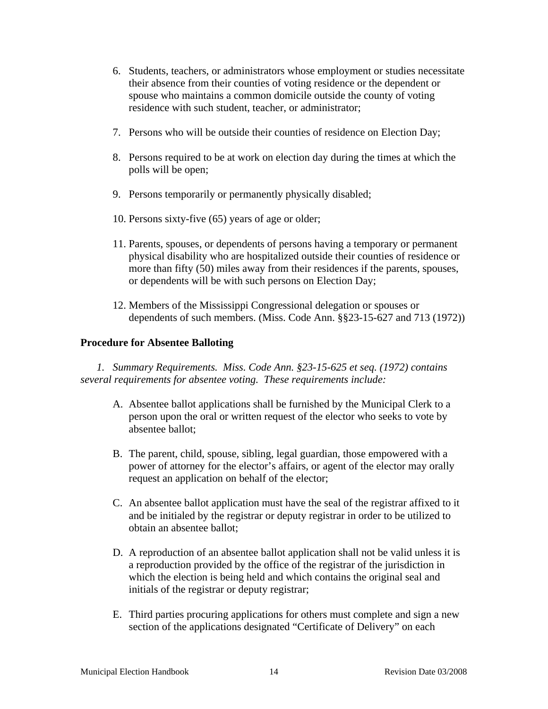- 6. Students, teachers, or administrators whose employment or studies necessitate their absence from their counties of voting residence or the dependent or spouse who maintains a common domicile outside the county of voting residence with such student, teacher, or administrator;
- 7. Persons who will be outside their counties of residence on Election Day;
- 8. Persons required to be at work on election day during the times at which the polls will be open;
- 9. Persons temporarily or permanently physically disabled;
- 10. Persons sixty-five (65) years of age or older;
- 11. Parents, spouses, or dependents of persons having a temporary or permanent physical disability who are hospitalized outside their counties of residence or more than fifty (50) miles away from their residences if the parents, spouses, or dependents will be with such persons on Election Day;
- 12. Members of the Mississippi Congressional delegation or spouses or dependents of such members. (Miss. Code Ann. §§23-15-627 and 713 (1972))

## **Procedure for Absentee Balloting**

*1. Summary Requirements. Miss. Code Ann. §23-15-625 et seq. (1972) contains several requirements for absentee voting. These requirements include:* 

- A. Absentee ballot applications shall be furnished by the Municipal Clerk to a person upon the oral or written request of the elector who seeks to vote by absentee ballot;
- B. The parent, child, spouse, sibling, legal guardian, those empowered with a power of attorney for the elector's affairs, or agent of the elector may orally request an application on behalf of the elector;
- C. An absentee ballot application must have the seal of the registrar affixed to it and be initialed by the registrar or deputy registrar in order to be utilized to obtain an absentee ballot;
- D. A reproduction of an absentee ballot application shall not be valid unless it is a reproduction provided by the office of the registrar of the jurisdiction in which the election is being held and which contains the original seal and initials of the registrar or deputy registrar;
- E. Third parties procuring applications for others must complete and sign a new section of the applications designated "Certificate of Delivery" on each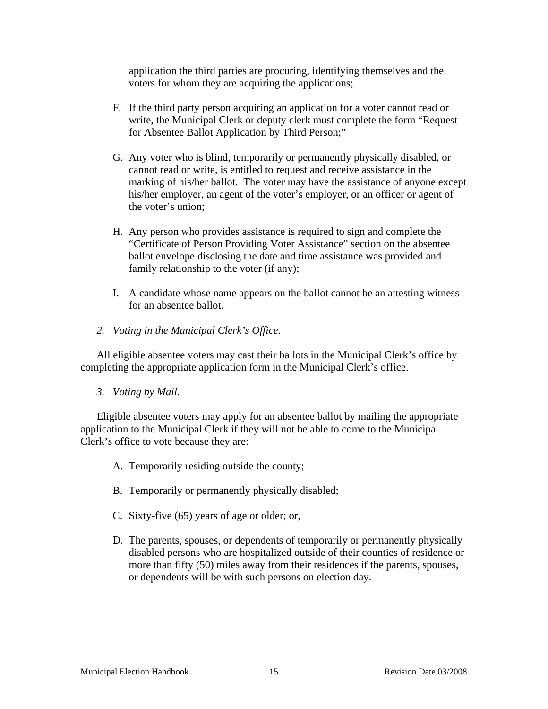application the third parties are procuring, identifying themselves and the voters for whom they are acquiring the applications;

- F. If the third party person acquiring an application for a voter cannot read or write, the Municipal Clerk or deputy clerk must complete the form "Request for Absentee Ballot Application by Third Person;"
- G. Any voter who is blind, temporarily or permanently physically disabled, or cannot read or write, is entitled to request and receive assistance in the marking of his/her ballot. The voter may have the assistance of anyone except his/her employer, an agent of the voter's employer, or an officer or agent of the voter's union;
- H. Any person who provides assistance is required to sign and complete the "Certificate of Person Providing Voter Assistance" section on the absentee ballot envelope disclosing the date and time assistance was provided and family relationship to the voter (if any);
- I. A candidate whose name appears on the ballot cannot be an attesting witness for an absentee ballot.
- *2. Voting in the Municipal Clerk's Office.*

All eligible absentee voters may cast their ballots in the Municipal Clerk's office by completing the appropriate application form in the Municipal Clerk's office.

*3. Voting by Mail.* 

Eligible absentee voters may apply for an absentee ballot by mailing the appropriate application to the Municipal Clerk if they will not be able to come to the Municipal Clerk's office to vote because they are:

- A. Temporarily residing outside the county;
- B. Temporarily or permanently physically disabled;
- C. Sixty-five (65) years of age or older; or,
- D. The parents, spouses, or dependents of temporarily or permanently physically disabled persons who are hospitalized outside of their counties of residence or more than fifty (50) miles away from their residences if the parents, spouses, or dependents will be with such persons on election day.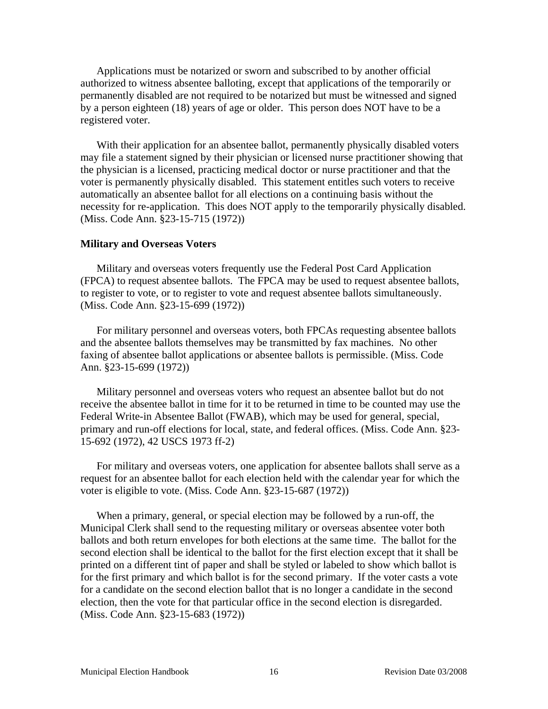Applications must be notarized or sworn and subscribed to by another official authorized to witness absentee balloting, except that applications of the temporarily or permanently disabled are not required to be notarized but must be witnessed and signed by a person eighteen (18) years of age or older. This person does NOT have to be a registered voter.

With their application for an absentee ballot, permanently physically disabled voters may file a statement signed by their physician or licensed nurse practitioner showing that the physician is a licensed, practicing medical doctor or nurse practitioner and that the voter is permanently physically disabled. This statement entitles such voters to receive automatically an absentee ballot for all elections on a continuing basis without the necessity for re-application. This does NOT apply to the temporarily physically disabled. (Miss. Code Ann. §23-15-715 (1972))

#### **Military and Overseas Voters**

Military and overseas voters frequently use the Federal Post Card Application (FPCA) to request absentee ballots. The FPCA may be used to request absentee ballots, to register to vote, or to register to vote and request absentee ballots simultaneously. (Miss. Code Ann. §23-15-699 (1972))

For military personnel and overseas voters, both FPCAs requesting absentee ballots and the absentee ballots themselves may be transmitted by fax machines. No other faxing of absentee ballot applications or absentee ballots is permissible. (Miss. Code Ann. §23-15-699 (1972))

Military personnel and overseas voters who request an absentee ballot but do not receive the absentee ballot in time for it to be returned in time to be counted may use the Federal Write-in Absentee Ballot (FWAB), which may be used for general, special, primary and run-off elections for local, state, and federal offices. (Miss. Code Ann. §23- 15-692 (1972), 42 USCS 1973 ff-2)

For military and overseas voters, one application for absentee ballots shall serve as a request for an absentee ballot for each election held with the calendar year for which the voter is eligible to vote. (Miss. Code Ann. §23-15-687 (1972))

When a primary, general, or special election may be followed by a run-off, the Municipal Clerk shall send to the requesting military or overseas absentee voter both ballots and both return envelopes for both elections at the same time. The ballot for the second election shall be identical to the ballot for the first election except that it shall be printed on a different tint of paper and shall be styled or labeled to show which ballot is for the first primary and which ballot is for the second primary. If the voter casts a vote for a candidate on the second election ballot that is no longer a candidate in the second election, then the vote for that particular office in the second election is disregarded. (Miss. Code Ann. §23-15-683 (1972))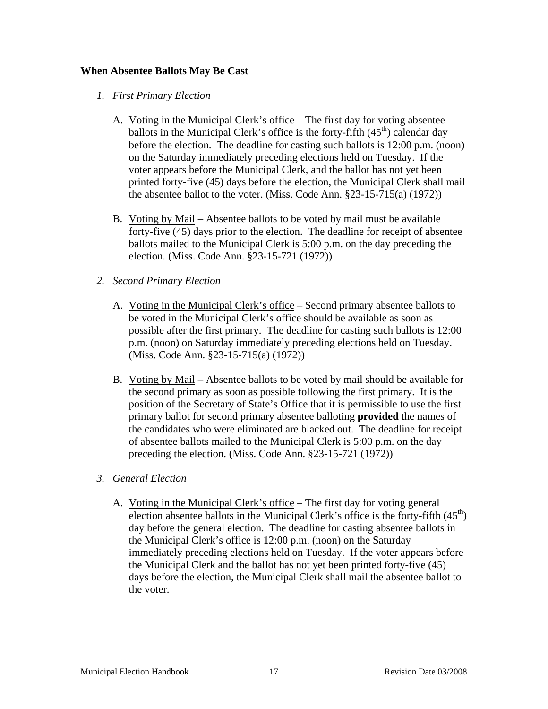## **When Absentee Ballots May Be Cast**

- *1. First Primary Election* 
	- A. Voting in the Municipal Clerk's office The first day for voting absentee ballots in the Municipal Clerk's office is the forty-fifth  $(45<sup>th</sup>)$  calendar day before the election. The deadline for casting such ballots is 12:00 p.m. (noon) on the Saturday immediately preceding elections held on Tuesday. If the voter appears before the Municipal Clerk, and the ballot has not yet been printed forty-five (45) days before the election, the Municipal Clerk shall mail the absentee ballot to the voter. (Miss. Code Ann. §23-15-715(a) (1972))
	- B. Voting by Mail Absentee ballots to be voted by mail must be available forty-five (45) days prior to the election. The deadline for receipt of absentee ballots mailed to the Municipal Clerk is 5:00 p.m. on the day preceding the election. (Miss. Code Ann. §23-15-721 (1972))
- *2. Second Primary Election* 
	- A. Voting in the Municipal Clerk's office Second primary absentee ballots to be voted in the Municipal Clerk's office should be available as soon as possible after the first primary. The deadline for casting such ballots is 12:00 p.m. (noon) on Saturday immediately preceding elections held on Tuesday. (Miss. Code Ann. §23-15-715(a) (1972))
	- B. Voting by Mail Absentee ballots to be voted by mail should be available for the second primary as soon as possible following the first primary. It is the position of the Secretary of State's Office that it is permissible to use the first primary ballot for second primary absentee balloting **provided** the names of the candidates who were eliminated are blacked out. The deadline for receipt of absentee ballots mailed to the Municipal Clerk is 5:00 p.m. on the day preceding the election. (Miss. Code Ann. §23-15-721 (1972))
- *3. General Election* 
	- A. Voting in the Municipal Clerk's office The first day for voting general election absentee ballots in the Municipal Clerk's office is the forty-fifth  $(45<sup>th</sup>)$ day before the general election. The deadline for casting absentee ballots in the Municipal Clerk's office is 12:00 p.m. (noon) on the Saturday immediately preceding elections held on Tuesday. If the voter appears before the Municipal Clerk and the ballot has not yet been printed forty-five (45) days before the election, the Municipal Clerk shall mail the absentee ballot to the voter.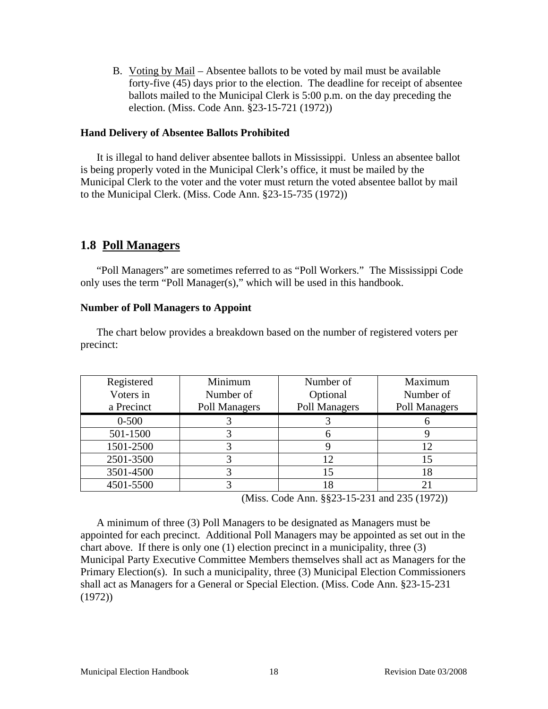B. Voting by Mail – Absentee ballots to be voted by mail must be available forty-five (45) days prior to the election. The deadline for receipt of absentee ballots mailed to the Municipal Clerk is 5:00 p.m. on the day preceding the election. (Miss. Code Ann. §23-15-721 (1972))

#### **Hand Delivery of Absentee Ballots Prohibited**

It is illegal to hand deliver absentee ballots in Mississippi. Unless an absentee ballot is being properly voted in the Municipal Clerk's office, it must be mailed by the Municipal Clerk to the voter and the voter must return the voted absentee ballot by mail to the Municipal Clerk. (Miss. Code Ann. §23-15-735 (1972))

# **1.8 Poll Managers**

"Poll Managers" are sometimes referred to as "Poll Workers." The Mississippi Code only uses the term "Poll Manager(s)," which will be used in this handbook.

#### **Number of Poll Managers to Appoint**

The chart below provides a breakdown based on the number of registered voters per precinct:

| Registered | Minimum       | Number of     | Maximum       |
|------------|---------------|---------------|---------------|
| Voters in  | Number of     | Optional      | Number of     |
| a Precinct | Poll Managers | Poll Managers | Poll Managers |
| $0 - 500$  |               |               |               |
| 501-1500   |               |               |               |
| 1501-2500  |               |               | 12            |
| 2501-3500  |               | 12            | 15            |
| 3501-4500  |               | 15            | 18            |
| 4501-5500  |               |               |               |

(Miss. Code Ann. §§23-15-231 and 235 (1972))

A minimum of three (3) Poll Managers to be designated as Managers must be appointed for each precinct. Additional Poll Managers may be appointed as set out in the chart above. If there is only one (1) election precinct in a municipality, three (3) Municipal Party Executive Committee Members themselves shall act as Managers for the Primary Election(s). In such a municipality, three (3) Municipal Election Commissioners shall act as Managers for a General or Special Election. (Miss. Code Ann. §23-15-231 (1972))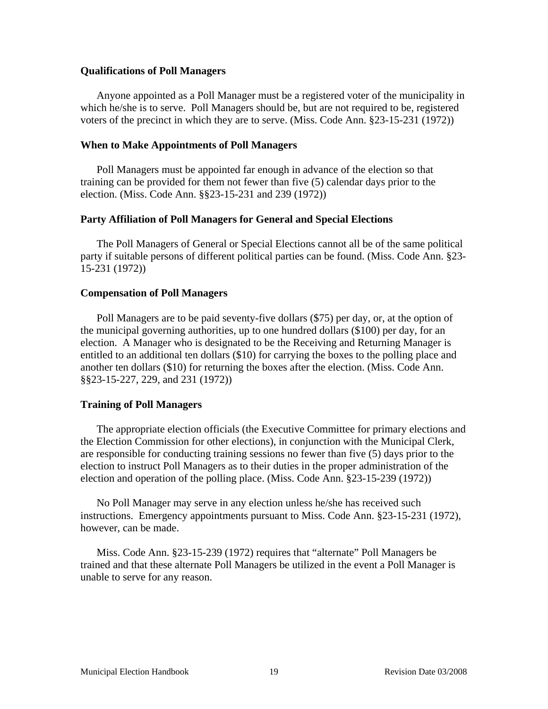#### **Qualifications of Poll Managers**

Anyone appointed as a Poll Manager must be a registered voter of the municipality in which he/she is to serve. Poll Managers should be, but are not required to be, registered voters of the precinct in which they are to serve. (Miss. Code Ann. §23-15-231 (1972))

#### **When to Make Appointments of Poll Managers**

Poll Managers must be appointed far enough in advance of the election so that training can be provided for them not fewer than five (5) calendar days prior to the election. (Miss. Code Ann. §§23-15-231 and 239 (1972))

#### **Party Affiliation of Poll Managers for General and Special Elections**

The Poll Managers of General or Special Elections cannot all be of the same political party if suitable persons of different political parties can be found. (Miss. Code Ann. §23- 15-231 (1972))

#### **Compensation of Poll Managers**

Poll Managers are to be paid seventy-five dollars (\$75) per day, or, at the option of the municipal governing authorities, up to one hundred dollars (\$100) per day, for an election. A Manager who is designated to be the Receiving and Returning Manager is entitled to an additional ten dollars (\$10) for carrying the boxes to the polling place and another ten dollars (\$10) for returning the boxes after the election. (Miss. Code Ann. §§23-15-227, 229, and 231 (1972))

#### **Training of Poll Managers**

The appropriate election officials (the Executive Committee for primary elections and the Election Commission for other elections), in conjunction with the Municipal Clerk, are responsible for conducting training sessions no fewer than five (5) days prior to the election to instruct Poll Managers as to their duties in the proper administration of the election and operation of the polling place. (Miss. Code Ann. §23-15-239 (1972))

No Poll Manager may serve in any election unless he/she has received such instructions. Emergency appointments pursuant to Miss. Code Ann. §23-15-231 (1972), however, can be made.

Miss. Code Ann. §23-15-239 (1972) requires that "alternate" Poll Managers be trained and that these alternate Poll Managers be utilized in the event a Poll Manager is unable to serve for any reason.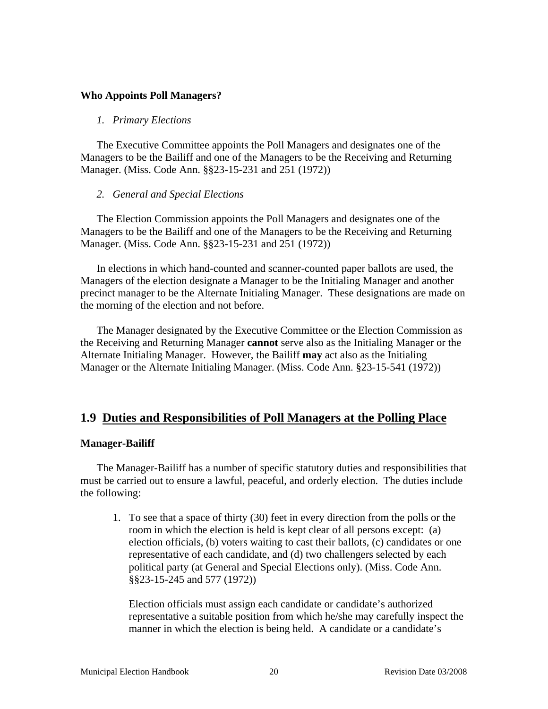#### **Who Appoints Poll Managers?**

#### *1. Primary Elections*

The Executive Committee appoints the Poll Managers and designates one of the Managers to be the Bailiff and one of the Managers to be the Receiving and Returning Manager. (Miss. Code Ann. §§23-15-231 and 251 (1972))

#### *2. General and Special Elections*

The Election Commission appoints the Poll Managers and designates one of the Managers to be the Bailiff and one of the Managers to be the Receiving and Returning Manager. (Miss. Code Ann. §§23-15-231 and 251 (1972))

In elections in which hand-counted and scanner-counted paper ballots are used, the Managers of the election designate a Manager to be the Initialing Manager and another precinct manager to be the Alternate Initialing Manager. These designations are made on the morning of the election and not before.

The Manager designated by the Executive Committee or the Election Commission as the Receiving and Returning Manager **cannot** serve also as the Initialing Manager or the Alternate Initialing Manager. However, the Bailiff **may** act also as the Initialing Manager or the Alternate Initialing Manager. (Miss. Code Ann. §23-15-541 (1972))

## **1.9 Duties and Responsibilities of Poll Managers at the Polling Place**

#### **Manager-Bailiff**

The Manager-Bailiff has a number of specific statutory duties and responsibilities that must be carried out to ensure a lawful, peaceful, and orderly election. The duties include the following:

1. To see that a space of thirty (30) feet in every direction from the polls or the room in which the election is held is kept clear of all persons except: (a) election officials, (b) voters waiting to cast their ballots, (c) candidates or one representative of each candidate, and (d) two challengers selected by each political party (at General and Special Elections only). (Miss. Code Ann. §§23-15-245 and 577 (1972))

Election officials must assign each candidate or candidate's authorized representative a suitable position from which he/she may carefully inspect the manner in which the election is being held. A candidate or a candidate's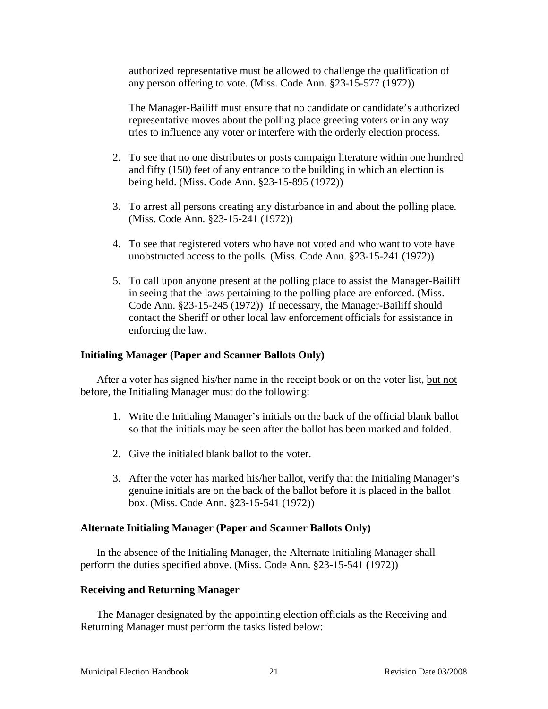authorized representative must be allowed to challenge the qualification of any person offering to vote. (Miss. Code Ann. §23-15-577 (1972))

The Manager-Bailiff must ensure that no candidate or candidate's authorized representative moves about the polling place greeting voters or in any way tries to influence any voter or interfere with the orderly election process.

- 2. To see that no one distributes or posts campaign literature within one hundred and fifty (150) feet of any entrance to the building in which an election is being held. (Miss. Code Ann. §23-15-895 (1972))
- 3. To arrest all persons creating any disturbance in and about the polling place. (Miss. Code Ann. §23-15-241 (1972))
- 4. To see that registered voters who have not voted and who want to vote have unobstructed access to the polls. (Miss. Code Ann. §23-15-241 (1972))
- 5. To call upon anyone present at the polling place to assist the Manager-Bailiff in seeing that the laws pertaining to the polling place are enforced. (Miss. Code Ann. §23-15-245 (1972)) If necessary, the Manager-Bailiff should contact the Sheriff or other local law enforcement officials for assistance in enforcing the law.

#### **Initialing Manager (Paper and Scanner Ballots Only)**

After a voter has signed his/her name in the receipt book or on the voter list, but not before, the Initialing Manager must do the following:

- 1. Write the Initialing Manager's initials on the back of the official blank ballot so that the initials may be seen after the ballot has been marked and folded.
- 2. Give the initialed blank ballot to the voter.
- 3. After the voter has marked his/her ballot, verify that the Initialing Manager's genuine initials are on the back of the ballot before it is placed in the ballot box. (Miss. Code Ann. §23-15-541 (1972))

#### **Alternate Initialing Manager (Paper and Scanner Ballots Only)**

In the absence of the Initialing Manager, the Alternate Initialing Manager shall perform the duties specified above. (Miss. Code Ann. §23-15-541 (1972))

#### **Receiving and Returning Manager**

The Manager designated by the appointing election officials as the Receiving and Returning Manager must perform the tasks listed below: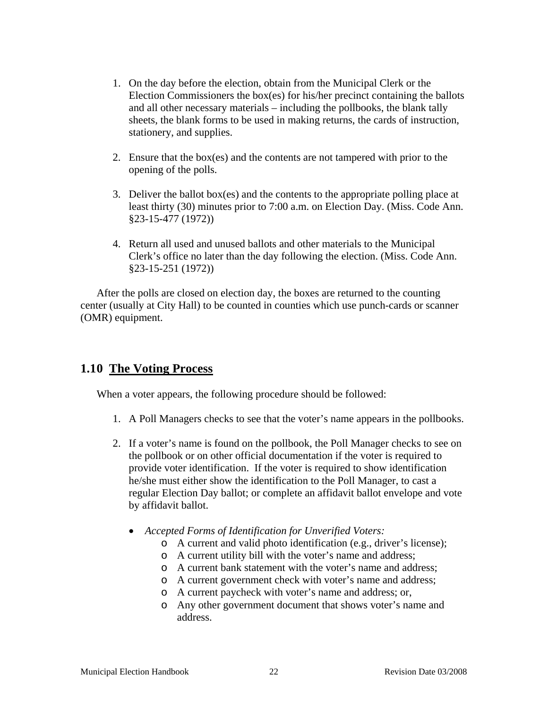- 1. On the day before the election, obtain from the Municipal Clerk or the Election Commissioners the box(es) for his/her precinct containing the ballots and all other necessary materials – including the pollbooks, the blank tally sheets, the blank forms to be used in making returns, the cards of instruction, stationery, and supplies.
- 2. Ensure that the box(es) and the contents are not tampered with prior to the opening of the polls.
- 3. Deliver the ballot box(es) and the contents to the appropriate polling place at least thirty (30) minutes prior to 7:00 a.m. on Election Day. (Miss. Code Ann. §23-15-477 (1972))
- 4. Return all used and unused ballots and other materials to the Municipal Clerk's office no later than the day following the election. (Miss. Code Ann. §23-15-251 (1972))

After the polls are closed on election day, the boxes are returned to the counting center (usually at City Hall) to be counted in counties which use punch-cards or scanner (OMR) equipment.

# **1.10 The Voting Process**

When a voter appears, the following procedure should be followed:

- 1. A Poll Managers checks to see that the voter's name appears in the pollbooks.
- 2. If a voter's name is found on the pollbook, the Poll Manager checks to see on the pollbook or on other official documentation if the voter is required to provide voter identification. If the voter is required to show identification he/she must either show the identification to the Poll Manager, to cast a regular Election Day ballot; or complete an affidavit ballot envelope and vote by affidavit ballot.
	- *Accepted Forms of Identification for Unverified Voters:* 
		- o A current and valid photo identification (e.g., driver's license);
		- o A current utility bill with the voter's name and address;
		- o A current bank statement with the voter's name and address;
		- o A current government check with voter's name and address;
		- o A current paycheck with voter's name and address; or,
		- o Any other government document that shows voter's name and address.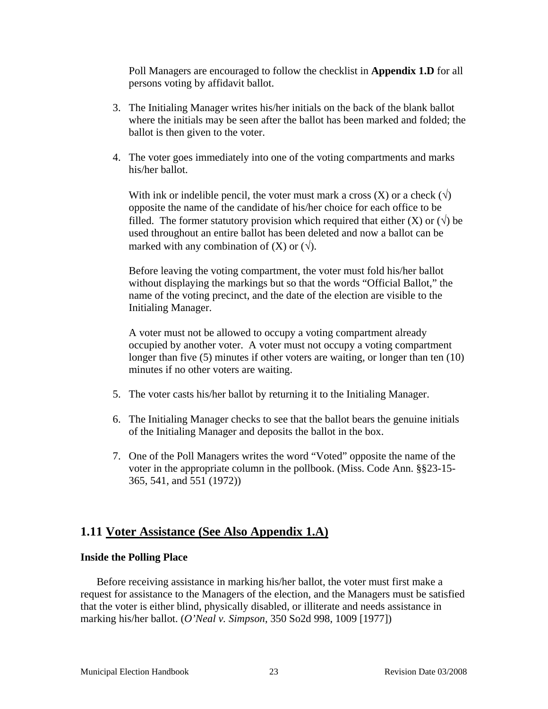Poll Managers are encouraged to follow the checklist in **Appendix 1.D** for all persons voting by affidavit ballot.

- 3. The Initialing Manager writes his/her initials on the back of the blank ballot where the initials may be seen after the ballot has been marked and folded; the ballot is then given to the voter.
- 4. The voter goes immediately into one of the voting compartments and marks his/her ballot.

With ink or indelible pencil, the voter must mark a cross  $(X)$  or a check  $(\sqrt)$ opposite the name of the candidate of his/her choice for each office to be filled. The former statutory provision which required that either (X) or  $(\sqrt{})$  be used throughout an entire ballot has been deleted and now a ballot can be marked with any combination of  $(X)$  or  $(\forall)$ .

Before leaving the voting compartment, the voter must fold his/her ballot without displaying the markings but so that the words "Official Ballot," the name of the voting precinct, and the date of the election are visible to the Initialing Manager.

A voter must not be allowed to occupy a voting compartment already occupied by another voter. A voter must not occupy a voting compartment longer than five (5) minutes if other voters are waiting, or longer than ten (10) minutes if no other voters are waiting.

- 5. The voter casts his/her ballot by returning it to the Initialing Manager.
- 6. The Initialing Manager checks to see that the ballot bears the genuine initials of the Initialing Manager and deposits the ballot in the box.
- 7. One of the Poll Managers writes the word "Voted" opposite the name of the voter in the appropriate column in the pollbook. (Miss. Code Ann. §§23-15- 365, 541, and 551 (1972))

# **1.11 Voter Assistance (See Also Appendix 1.A)**

#### **Inside the Polling Place**

Before receiving assistance in marking his/her ballot, the voter must first make a request for assistance to the Managers of the election, and the Managers must be satisfied that the voter is either blind, physically disabled, or illiterate and needs assistance in marking his/her ballot. (*O'Neal v. Simpson*, 350 So2d 998, 1009 [1977])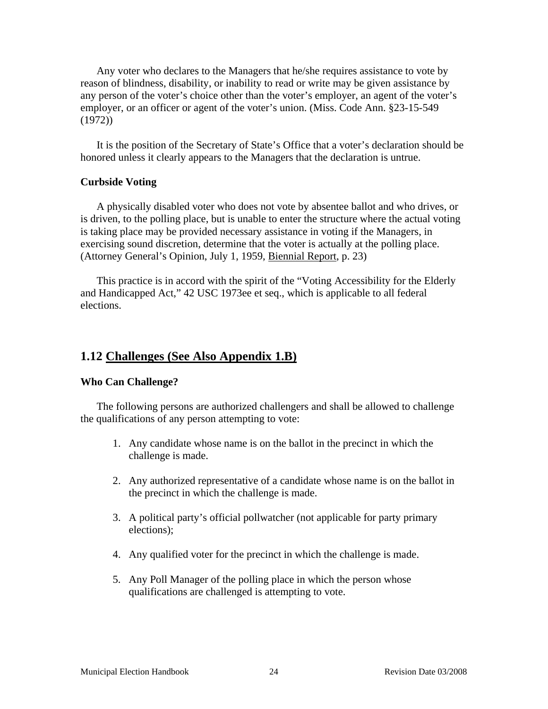Any voter who declares to the Managers that he/she requires assistance to vote by reason of blindness, disability, or inability to read or write may be given assistance by any person of the voter's choice other than the voter's employer, an agent of the voter's employer, or an officer or agent of the voter's union. (Miss. Code Ann. §23-15-549 (1972))

It is the position of the Secretary of State's Office that a voter's declaration should be honored unless it clearly appears to the Managers that the declaration is untrue.

#### **Curbside Voting**

A physically disabled voter who does not vote by absentee ballot and who drives, or is driven, to the polling place, but is unable to enter the structure where the actual voting is taking place may be provided necessary assistance in voting if the Managers, in exercising sound discretion, determine that the voter is actually at the polling place. (Attorney General's Opinion, July 1, 1959, Biennial Report, p. 23)

This practice is in accord with the spirit of the "Voting Accessibility for the Elderly and Handicapped Act," 42 USC 1973ee et seq., which is applicable to all federal elections.

## **1.12 Challenges (See Also Appendix 1.B)**

#### **Who Can Challenge?**

The following persons are authorized challengers and shall be allowed to challenge the qualifications of any person attempting to vote:

- 1. Any candidate whose name is on the ballot in the precinct in which the challenge is made.
- 2. Any authorized representative of a candidate whose name is on the ballot in the precinct in which the challenge is made.
- 3. A political party's official pollwatcher (not applicable for party primary elections);
- 4. Any qualified voter for the precinct in which the challenge is made.
- 5. Any Poll Manager of the polling place in which the person whose qualifications are challenged is attempting to vote.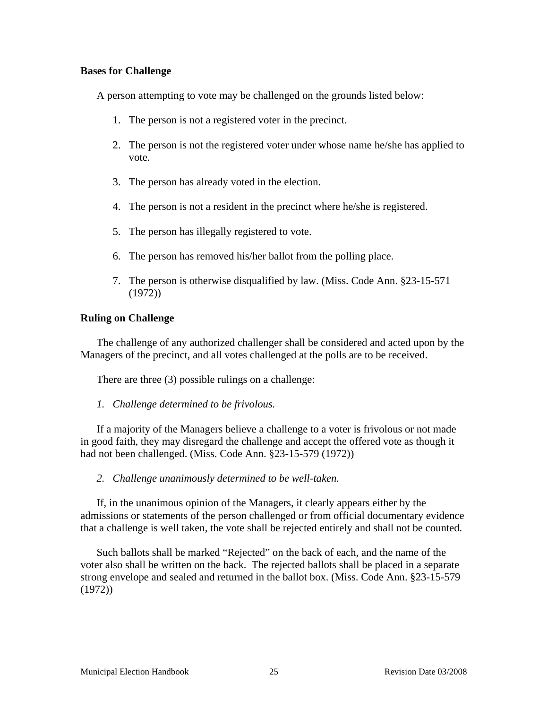## **Bases for Challenge**

A person attempting to vote may be challenged on the grounds listed below:

- 1. The person is not a registered voter in the precinct.
- 2. The person is not the registered voter under whose name he/she has applied to vote.
- 3. The person has already voted in the election.
- 4. The person is not a resident in the precinct where he/she is registered.
- 5. The person has illegally registered to vote.
- 6. The person has removed his/her ballot from the polling place.
- 7. The person is otherwise disqualified by law. (Miss. Code Ann. §23-15-571 (1972))

## **Ruling on Challenge**

The challenge of any authorized challenger shall be considered and acted upon by the Managers of the precinct, and all votes challenged at the polls are to be received.

There are three (3) possible rulings on a challenge:

*1. Challenge determined to be frivolous.* 

If a majority of the Managers believe a challenge to a voter is frivolous or not made in good faith, they may disregard the challenge and accept the offered vote as though it had not been challenged. (Miss. Code Ann. §23-15-579 (1972))

*2. Challenge unanimously determined to be well-taken.* 

If, in the unanimous opinion of the Managers, it clearly appears either by the admissions or statements of the person challenged or from official documentary evidence that a challenge is well taken, the vote shall be rejected entirely and shall not be counted.

Such ballots shall be marked "Rejected" on the back of each, and the name of the voter also shall be written on the back. The rejected ballots shall be placed in a separate strong envelope and sealed and returned in the ballot box. (Miss. Code Ann. §23-15-579 (1972))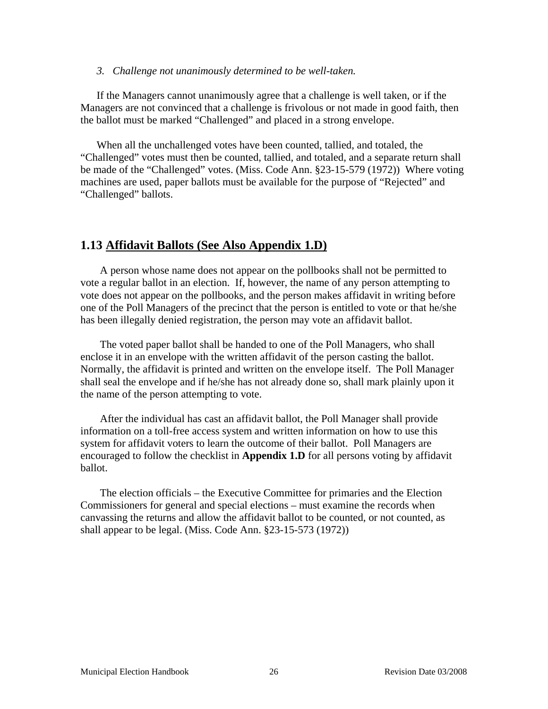#### *3. Challenge not unanimously determined to be well-taken.*

If the Managers cannot unanimously agree that a challenge is well taken, or if the Managers are not convinced that a challenge is frivolous or not made in good faith, then the ballot must be marked "Challenged" and placed in a strong envelope.

When all the unchallenged votes have been counted, tallied, and totaled, the "Challenged" votes must then be counted, tallied, and totaled, and a separate return shall be made of the "Challenged" votes. (Miss. Code Ann. §23-15-579 (1972)) Where voting machines are used, paper ballots must be available for the purpose of "Rejected" and "Challenged" ballots.

## **1.13 Affidavit Ballots (See Also Appendix 1.D)**

A person whose name does not appear on the pollbooks shall not be permitted to vote a regular ballot in an election. If, however, the name of any person attempting to vote does not appear on the pollbooks, and the person makes affidavit in writing before one of the Poll Managers of the precinct that the person is entitled to vote or that he/she has been illegally denied registration, the person may vote an affidavit ballot.

The voted paper ballot shall be handed to one of the Poll Managers, who shall enclose it in an envelope with the written affidavit of the person casting the ballot. Normally, the affidavit is printed and written on the envelope itself. The Poll Manager shall seal the envelope and if he/she has not already done so, shall mark plainly upon it the name of the person attempting to vote.

After the individual has cast an affidavit ballot, the Poll Manager shall provide information on a toll-free access system and written information on how to use this system for affidavit voters to learn the outcome of their ballot. Poll Managers are encouraged to follow the checklist in **Appendix 1.D** for all persons voting by affidavit ballot.

The election officials – the Executive Committee for primaries and the Election Commissioners for general and special elections – must examine the records when canvassing the returns and allow the affidavit ballot to be counted, or not counted, as shall appear to be legal. (Miss. Code Ann. §23-15-573 (1972))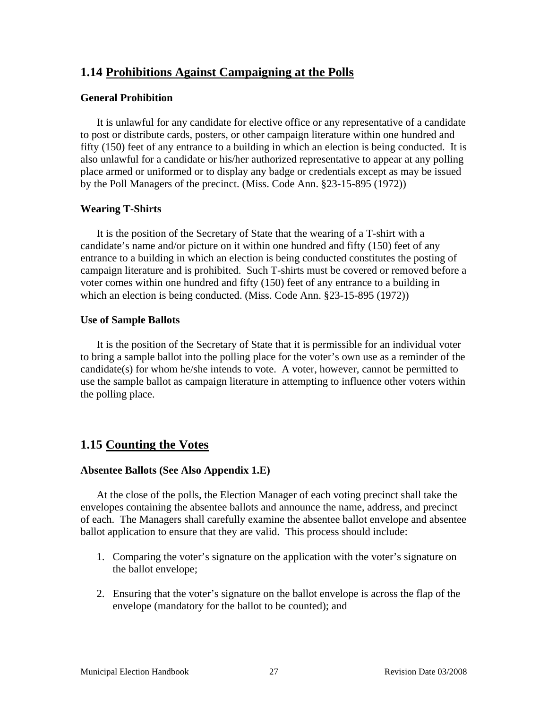# **1.14 Prohibitions Against Campaigning at the Polls**

## **General Prohibition**

It is unlawful for any candidate for elective office or any representative of a candidate to post or distribute cards, posters, or other campaign literature within one hundred and fifty (150) feet of any entrance to a building in which an election is being conducted. It is also unlawful for a candidate or his/her authorized representative to appear at any polling place armed or uniformed or to display any badge or credentials except as may be issued by the Poll Managers of the precinct. (Miss. Code Ann. §23-15-895 (1972))

## **Wearing T-Shirts**

It is the position of the Secretary of State that the wearing of a T-shirt with a candidate's name and/or picture on it within one hundred and fifty (150) feet of any entrance to a building in which an election is being conducted constitutes the posting of campaign literature and is prohibited. Such T-shirts must be covered or removed before a voter comes within one hundred and fifty (150) feet of any entrance to a building in which an election is being conducted. (Miss. Code Ann. §23-15-895 (1972))

## **Use of Sample Ballots**

It is the position of the Secretary of State that it is permissible for an individual voter to bring a sample ballot into the polling place for the voter's own use as a reminder of the candidate(s) for whom he/she intends to vote. A voter, however, cannot be permitted to use the sample ballot as campaign literature in attempting to influence other voters within the polling place.

# **1.15 Counting the Votes**

## **Absentee Ballots (See Also Appendix 1.E)**

At the close of the polls, the Election Manager of each voting precinct shall take the envelopes containing the absentee ballots and announce the name, address, and precinct of each. The Managers shall carefully examine the absentee ballot envelope and absentee ballot application to ensure that they are valid. This process should include:

- 1. Comparing the voter's signature on the application with the voter's signature on the ballot envelope;
- 2. Ensuring that the voter's signature on the ballot envelope is across the flap of the envelope (mandatory for the ballot to be counted); and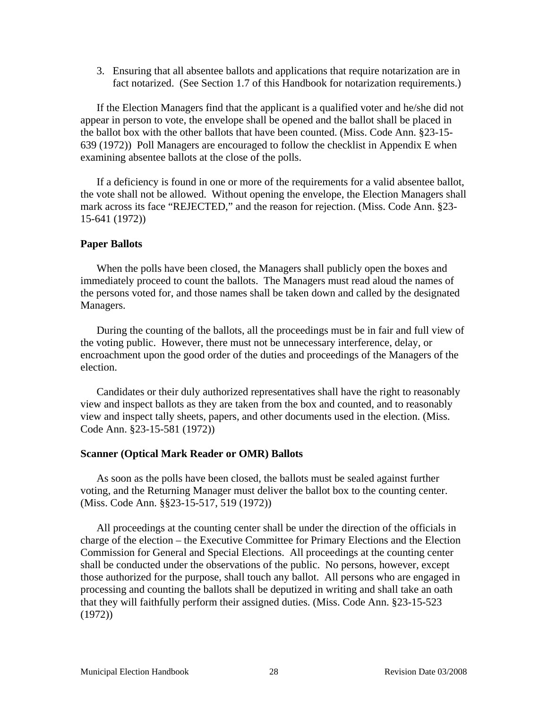3. Ensuring that all absentee ballots and applications that require notarization are in fact notarized. (See Section 1.7 of this Handbook for notarization requirements.)

If the Election Managers find that the applicant is a qualified voter and he/she did not appear in person to vote, the envelope shall be opened and the ballot shall be placed in the ballot box with the other ballots that have been counted. (Miss. Code Ann. §23-15- 639 (1972)) Poll Managers are encouraged to follow the checklist in Appendix E when examining absentee ballots at the close of the polls.

If a deficiency is found in one or more of the requirements for a valid absentee ballot, the vote shall not be allowed. Without opening the envelope, the Election Managers shall mark across its face "REJECTED," and the reason for rejection. (Miss. Code Ann. §23- 15-641 (1972))

#### **Paper Ballots**

When the polls have been closed, the Managers shall publicly open the boxes and immediately proceed to count the ballots. The Managers must read aloud the names of the persons voted for, and those names shall be taken down and called by the designated Managers.

During the counting of the ballots, all the proceedings must be in fair and full view of the voting public. However, there must not be unnecessary interference, delay, or encroachment upon the good order of the duties and proceedings of the Managers of the election.

Candidates or their duly authorized representatives shall have the right to reasonably view and inspect ballots as they are taken from the box and counted, and to reasonably view and inspect tally sheets, papers, and other documents used in the election. (Miss. Code Ann. §23-15-581 (1972))

#### **Scanner (Optical Mark Reader or OMR) Ballots**

As soon as the polls have been closed, the ballots must be sealed against further voting, and the Returning Manager must deliver the ballot box to the counting center. (Miss. Code Ann. §§23-15-517, 519 (1972))

All proceedings at the counting center shall be under the direction of the officials in charge of the election – the Executive Committee for Primary Elections and the Election Commission for General and Special Elections. All proceedings at the counting center shall be conducted under the observations of the public. No persons, however, except those authorized for the purpose, shall touch any ballot. All persons who are engaged in processing and counting the ballots shall be deputized in writing and shall take an oath that they will faithfully perform their assigned duties. (Miss. Code Ann. §23-15-523 (1972))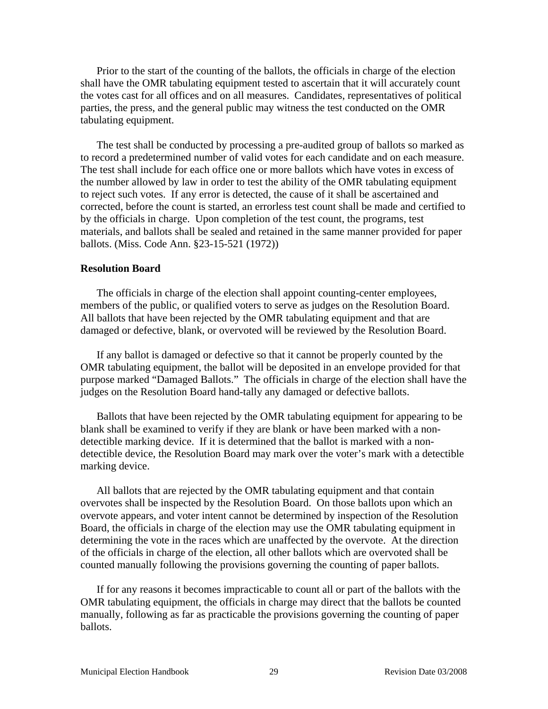Prior to the start of the counting of the ballots, the officials in charge of the election shall have the OMR tabulating equipment tested to ascertain that it will accurately count the votes cast for all offices and on all measures. Candidates, representatives of political parties, the press, and the general public may witness the test conducted on the OMR tabulating equipment.

The test shall be conducted by processing a pre-audited group of ballots so marked as to record a predetermined number of valid votes for each candidate and on each measure. The test shall include for each office one or more ballots which have votes in excess of the number allowed by law in order to test the ability of the OMR tabulating equipment to reject such votes. If any error is detected, the cause of it shall be ascertained and corrected, before the count is started, an errorless test count shall be made and certified to by the officials in charge. Upon completion of the test count, the programs, test materials, and ballots shall be sealed and retained in the same manner provided for paper ballots. (Miss. Code Ann. §23-15-521 (1972))

#### **Resolution Board**

The officials in charge of the election shall appoint counting-center employees, members of the public, or qualified voters to serve as judges on the Resolution Board. All ballots that have been rejected by the OMR tabulating equipment and that are damaged or defective, blank, or overvoted will be reviewed by the Resolution Board.

If any ballot is damaged or defective so that it cannot be properly counted by the OMR tabulating equipment, the ballot will be deposited in an envelope provided for that purpose marked "Damaged Ballots." The officials in charge of the election shall have the judges on the Resolution Board hand-tally any damaged or defective ballots.

Ballots that have been rejected by the OMR tabulating equipment for appearing to be blank shall be examined to verify if they are blank or have been marked with a nondetectible marking device. If it is determined that the ballot is marked with a nondetectible device, the Resolution Board may mark over the voter's mark with a detectible marking device.

All ballots that are rejected by the OMR tabulating equipment and that contain overvotes shall be inspected by the Resolution Board. On those ballots upon which an overvote appears, and voter intent cannot be determined by inspection of the Resolution Board, the officials in charge of the election may use the OMR tabulating equipment in determining the vote in the races which are unaffected by the overvote. At the direction of the officials in charge of the election, all other ballots which are overvoted shall be counted manually following the provisions governing the counting of paper ballots.

If for any reasons it becomes impracticable to count all or part of the ballots with the OMR tabulating equipment, the officials in charge may direct that the ballots be counted manually, following as far as practicable the provisions governing the counting of paper ballots.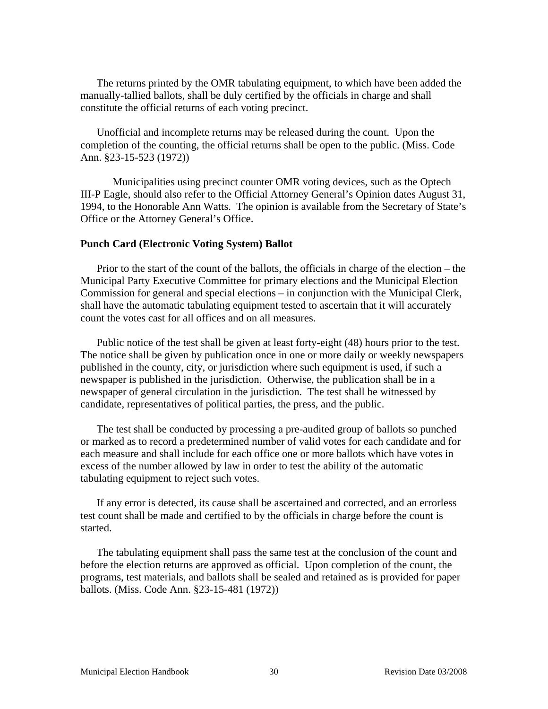The returns printed by the OMR tabulating equipment, to which have been added the manually-tallied ballots, shall be duly certified by the officials in charge and shall constitute the official returns of each voting precinct.

Unofficial and incomplete returns may be released during the count. Upon the completion of the counting, the official returns shall be open to the public. (Miss. Code Ann. §23-15-523 (1972))

 Municipalities using precinct counter OMR voting devices, such as the Optech III-P Eagle, should also refer to the Official Attorney General's Opinion dates August 31, 1994, to the Honorable Ann Watts. The opinion is available from the Secretary of State's Office or the Attorney General's Office.

#### **Punch Card (Electronic Voting System) Ballot**

Prior to the start of the count of the ballots, the officials in charge of the election – the Municipal Party Executive Committee for primary elections and the Municipal Election Commission for general and special elections – in conjunction with the Municipal Clerk, shall have the automatic tabulating equipment tested to ascertain that it will accurately count the votes cast for all offices and on all measures.

Public notice of the test shall be given at least forty-eight (48) hours prior to the test. The notice shall be given by publication once in one or more daily or weekly newspapers published in the county, city, or jurisdiction where such equipment is used, if such a newspaper is published in the jurisdiction. Otherwise, the publication shall be in a newspaper of general circulation in the jurisdiction. The test shall be witnessed by candidate, representatives of political parties, the press, and the public.

The test shall be conducted by processing a pre-audited group of ballots so punched or marked as to record a predetermined number of valid votes for each candidate and for each measure and shall include for each office one or more ballots which have votes in excess of the number allowed by law in order to test the ability of the automatic tabulating equipment to reject such votes.

If any error is detected, its cause shall be ascertained and corrected, and an errorless test count shall be made and certified to by the officials in charge before the count is started.

The tabulating equipment shall pass the same test at the conclusion of the count and before the election returns are approved as official. Upon completion of the count, the programs, test materials, and ballots shall be sealed and retained as is provided for paper ballots. (Miss. Code Ann. §23-15-481 (1972))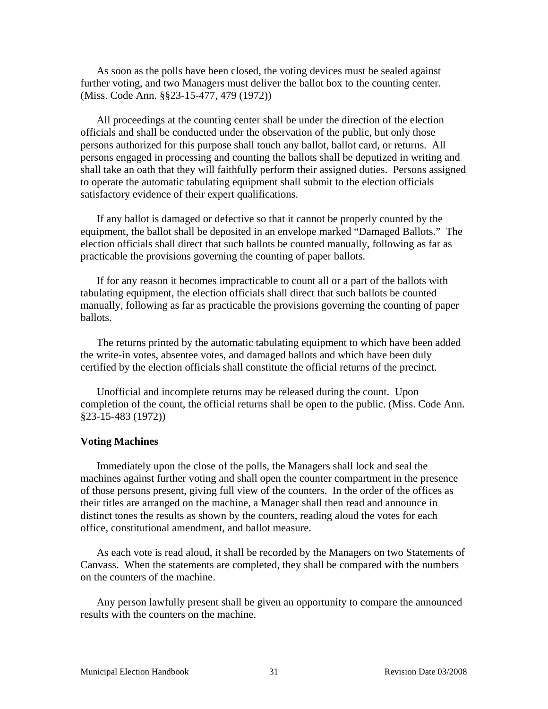As soon as the polls have been closed, the voting devices must be sealed against further voting, and two Managers must deliver the ballot box to the counting center. (Miss. Code Ann. §§23-15-477, 479 (1972))

All proceedings at the counting center shall be under the direction of the election officials and shall be conducted under the observation of the public, but only those persons authorized for this purpose shall touch any ballot, ballot card, or returns. All persons engaged in processing and counting the ballots shall be deputized in writing and shall take an oath that they will faithfully perform their assigned duties. Persons assigned to operate the automatic tabulating equipment shall submit to the election officials satisfactory evidence of their expert qualifications.

If any ballot is damaged or defective so that it cannot be properly counted by the equipment, the ballot shall be deposited in an envelope marked "Damaged Ballots." The election officials shall direct that such ballots be counted manually, following as far as practicable the provisions governing the counting of paper ballots.

If for any reason it becomes impracticable to count all or a part of the ballots with tabulating equipment, the election officials shall direct that such ballots be counted manually, following as far as practicable the provisions governing the counting of paper ballots.

The returns printed by the automatic tabulating equipment to which have been added the write-in votes, absentee votes, and damaged ballots and which have been duly certified by the election officials shall constitute the official returns of the precinct.

Unofficial and incomplete returns may be released during the count. Upon completion of the count, the official returns shall be open to the public. (Miss. Code Ann. §23-15-483 (1972))

#### **Voting Machines**

Immediately upon the close of the polls, the Managers shall lock and seal the machines against further voting and shall open the counter compartment in the presence of those persons present, giving full view of the counters. In the order of the offices as their titles are arranged on the machine, a Manager shall then read and announce in distinct tones the results as shown by the counters, reading aloud the votes for each office, constitutional amendment, and ballot measure.

As each vote is read aloud, it shall be recorded by the Managers on two Statements of Canvass. When the statements are completed, they shall be compared with the numbers on the counters of the machine.

Any person lawfully present shall be given an opportunity to compare the announced results with the counters on the machine.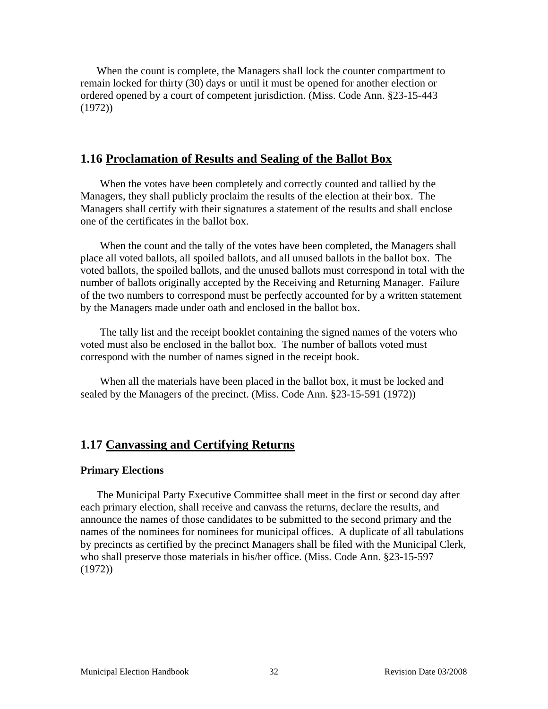When the count is complete, the Managers shall lock the counter compartment to remain locked for thirty (30) days or until it must be opened for another election or ordered opened by a court of competent jurisdiction. (Miss. Code Ann. §23-15-443 (1972))

## **1.16 Proclamation of Results and Sealing of the Ballot Box**

When the votes have been completely and correctly counted and tallied by the Managers, they shall publicly proclaim the results of the election at their box. The Managers shall certify with their signatures a statement of the results and shall enclose one of the certificates in the ballot box.

When the count and the tally of the votes have been completed, the Managers shall place all voted ballots, all spoiled ballots, and all unused ballots in the ballot box. The voted ballots, the spoiled ballots, and the unused ballots must correspond in total with the number of ballots originally accepted by the Receiving and Returning Manager. Failure of the two numbers to correspond must be perfectly accounted for by a written statement by the Managers made under oath and enclosed in the ballot box.

The tally list and the receipt booklet containing the signed names of the voters who voted must also be enclosed in the ballot box. The number of ballots voted must correspond with the number of names signed in the receipt book.

When all the materials have been placed in the ballot box, it must be locked and sealed by the Managers of the precinct. (Miss. Code Ann. §23-15-591 (1972))

# **1.17 Canvassing and Certifying Returns**

#### **Primary Elections**

The Municipal Party Executive Committee shall meet in the first or second day after each primary election, shall receive and canvass the returns, declare the results, and announce the names of those candidates to be submitted to the second primary and the names of the nominees for nominees for municipal offices. A duplicate of all tabulations by precincts as certified by the precinct Managers shall be filed with the Municipal Clerk, who shall preserve those materials in his/her office. (Miss. Code Ann. §23-15-597 (1972))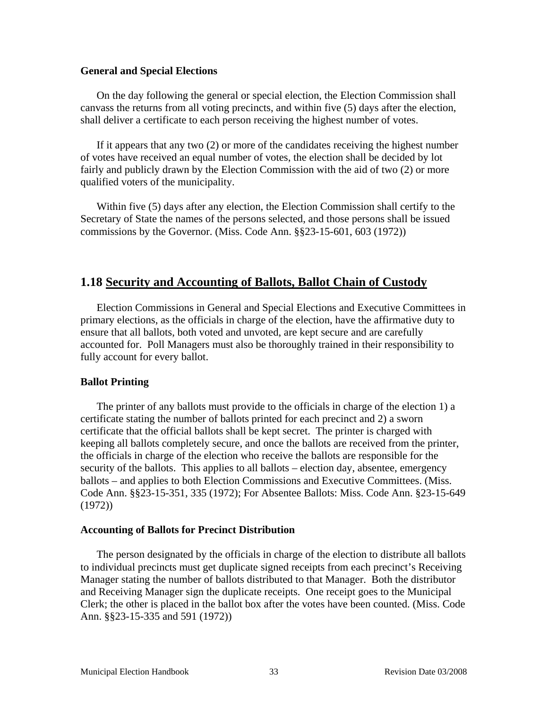#### **General and Special Elections**

On the day following the general or special election, the Election Commission shall canvass the returns from all voting precincts, and within five (5) days after the election, shall deliver a certificate to each person receiving the highest number of votes.

If it appears that any two (2) or more of the candidates receiving the highest number of votes have received an equal number of votes, the election shall be decided by lot fairly and publicly drawn by the Election Commission with the aid of two (2) or more qualified voters of the municipality.

Within five (5) days after any election, the Election Commission shall certify to the Secretary of State the names of the persons selected, and those persons shall be issued commissions by the Governor. (Miss. Code Ann. §§23-15-601, 603 (1972))

# **1.18 Security and Accounting of Ballots, Ballot Chain of Custody**

Election Commissions in General and Special Elections and Executive Committees in primary elections, as the officials in charge of the election, have the affirmative duty to ensure that all ballots, both voted and unvoted, are kept secure and are carefully accounted for. Poll Managers must also be thoroughly trained in their responsibility to fully account for every ballot.

## **Ballot Printing**

The printer of any ballots must provide to the officials in charge of the election 1) a certificate stating the number of ballots printed for each precinct and 2) a sworn certificate that the official ballots shall be kept secret. The printer is charged with keeping all ballots completely secure, and once the ballots are received from the printer, the officials in charge of the election who receive the ballots are responsible for the security of the ballots. This applies to all ballots – election day, absentee, emergency ballots – and applies to both Election Commissions and Executive Committees. (Miss. Code Ann. §§23-15-351, 335 (1972); For Absentee Ballots: Miss. Code Ann. §23-15-649 (1972))

#### **Accounting of Ballots for Precinct Distribution**

The person designated by the officials in charge of the election to distribute all ballots to individual precincts must get duplicate signed receipts from each precinct's Receiving Manager stating the number of ballots distributed to that Manager. Both the distributor and Receiving Manager sign the duplicate receipts. One receipt goes to the Municipal Clerk; the other is placed in the ballot box after the votes have been counted. (Miss. Code Ann. §§23-15-335 and 591 (1972))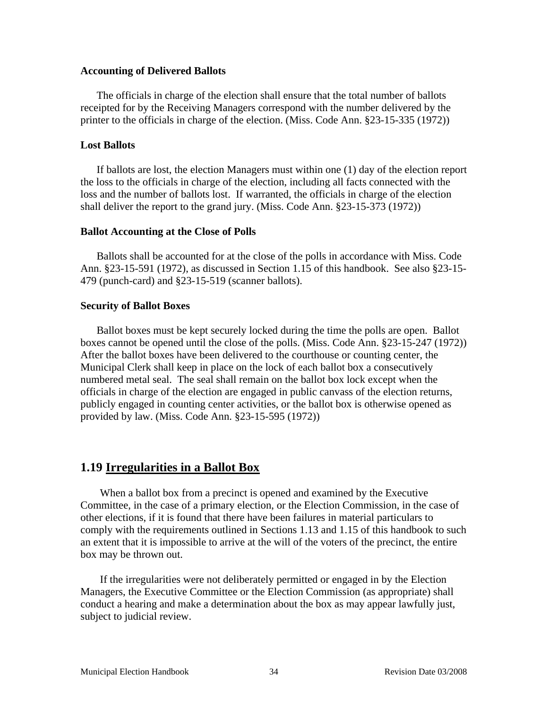#### **Accounting of Delivered Ballots**

The officials in charge of the election shall ensure that the total number of ballots receipted for by the Receiving Managers correspond with the number delivered by the printer to the officials in charge of the election. (Miss. Code Ann. §23-15-335 (1972))

## **Lost Ballots**

If ballots are lost, the election Managers must within one (1) day of the election report the loss to the officials in charge of the election, including all facts connected with the loss and the number of ballots lost. If warranted, the officials in charge of the election shall deliver the report to the grand jury. (Miss. Code Ann. §23-15-373 (1972))

#### **Ballot Accounting at the Close of Polls**

Ballots shall be accounted for at the close of the polls in accordance with Miss. Code Ann. §23-15-591 (1972), as discussed in Section 1.15 of this handbook. See also §23-15- 479 (punch-card) and §23-15-519 (scanner ballots).

## **Security of Ballot Boxes**

Ballot boxes must be kept securely locked during the time the polls are open. Ballot boxes cannot be opened until the close of the polls. (Miss. Code Ann. §23-15-247 (1972)) After the ballot boxes have been delivered to the courthouse or counting center, the Municipal Clerk shall keep in place on the lock of each ballot box a consecutively numbered metal seal. The seal shall remain on the ballot box lock except when the officials in charge of the election are engaged in public canvass of the election returns, publicly engaged in counting center activities, or the ballot box is otherwise opened as provided by law. (Miss. Code Ann. §23-15-595 (1972))

# **1.19 Irregularities in a Ballot Box**

When a ballot box from a precinct is opened and examined by the Executive Committee, in the case of a primary election, or the Election Commission, in the case of other elections, if it is found that there have been failures in material particulars to comply with the requirements outlined in Sections 1.13 and 1.15 of this handbook to such an extent that it is impossible to arrive at the will of the voters of the precinct, the entire box may be thrown out.

If the irregularities were not deliberately permitted or engaged in by the Election Managers, the Executive Committee or the Election Commission (as appropriate) shall conduct a hearing and make a determination about the box as may appear lawfully just, subject to judicial review.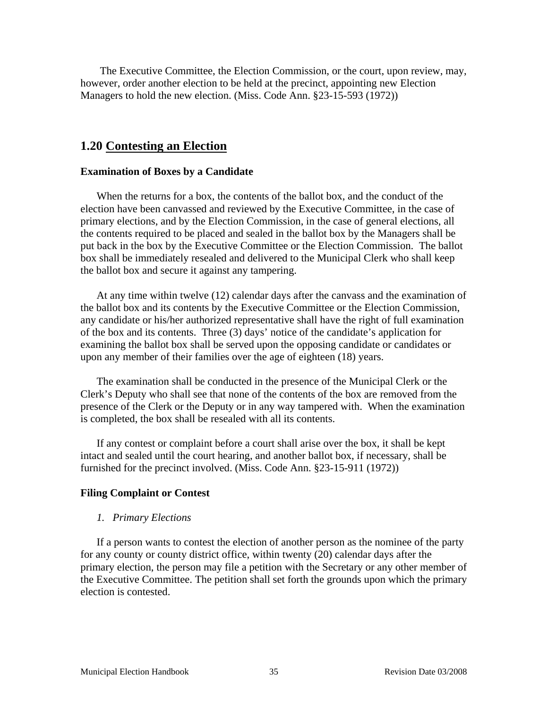The Executive Committee, the Election Commission, or the court, upon review, may, however, order another election to be held at the precinct, appointing new Election Managers to hold the new election. (Miss. Code Ann. §23-15-593 (1972))

# **1.20 Contesting an Election**

#### **Examination of Boxes by a Candidate**

When the returns for a box, the contents of the ballot box, and the conduct of the election have been canvassed and reviewed by the Executive Committee, in the case of primary elections, and by the Election Commission, in the case of general elections, all the contents required to be placed and sealed in the ballot box by the Managers shall be put back in the box by the Executive Committee or the Election Commission. The ballot box shall be immediately resealed and delivered to the Municipal Clerk who shall keep the ballot box and secure it against any tampering.

At any time within twelve (12) calendar days after the canvass and the examination of the ballot box and its contents by the Executive Committee or the Election Commission, any candidate or his/her authorized representative shall have the right of full examination of the box and its contents. Three (3) days' notice of the candidate's application for examining the ballot box shall be served upon the opposing candidate or candidates or upon any member of their families over the age of eighteen (18) years.

The examination shall be conducted in the presence of the Municipal Clerk or the Clerk's Deputy who shall see that none of the contents of the box are removed from the presence of the Clerk or the Deputy or in any way tampered with. When the examination is completed, the box shall be resealed with all its contents.

If any contest or complaint before a court shall arise over the box, it shall be kept intact and sealed until the court hearing, and another ballot box, if necessary, shall be furnished for the precinct involved. (Miss. Code Ann. §23-15-911 (1972))

#### **Filing Complaint or Contest**

#### *1. Primary Elections*

If a person wants to contest the election of another person as the nominee of the party for any county or county district office, within twenty (20) calendar days after the primary election, the person may file a petition with the Secretary or any other member of the Executive Committee. The petition shall set forth the grounds upon which the primary election is contested.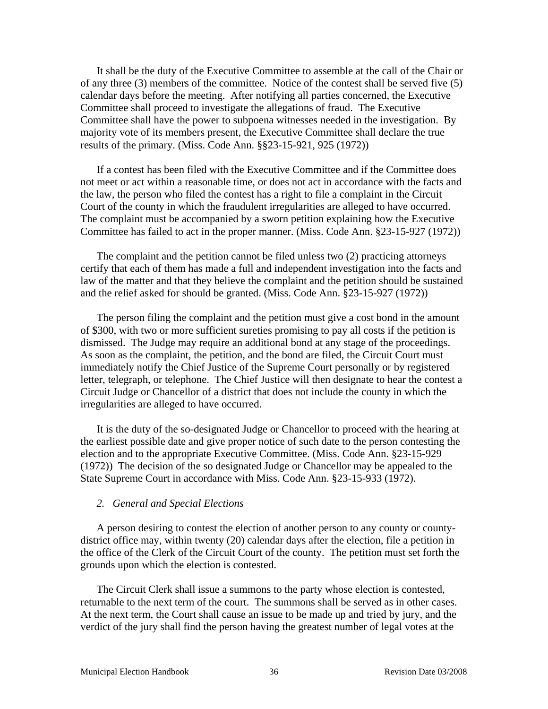It shall be the duty of the Executive Committee to assemble at the call of the Chair or of any three (3) members of the committee. Notice of the contest shall be served five (5) calendar days before the meeting. After notifying all parties concerned, the Executive Committee shall proceed to investigate the allegations of fraud. The Executive Committee shall have the power to subpoena witnesses needed in the investigation. By majority vote of its members present, the Executive Committee shall declare the true results of the primary. (Miss. Code Ann. §§23-15-921, 925 (1972))

If a contest has been filed with the Executive Committee and if the Committee does not meet or act within a reasonable time, or does not act in accordance with the facts and the law, the person who filed the contest has a right to file a complaint in the Circuit Court of the county in which the fraudulent irregularities are alleged to have occurred. The complaint must be accompanied by a sworn petition explaining how the Executive Committee has failed to act in the proper manner. (Miss. Code Ann. §23-15-927 (1972))

The complaint and the petition cannot be filed unless two (2) practicing attorneys certify that each of them has made a full and independent investigation into the facts and law of the matter and that they believe the complaint and the petition should be sustained and the relief asked for should be granted. (Miss. Code Ann. §23-15-927 (1972))

The person filing the complaint and the petition must give a cost bond in the amount of \$300, with two or more sufficient sureties promising to pay all costs if the petition is dismissed. The Judge may require an additional bond at any stage of the proceedings. As soon as the complaint, the petition, and the bond are filed, the Circuit Court must immediately notify the Chief Justice of the Supreme Court personally or by registered letter, telegraph, or telephone. The Chief Justice will then designate to hear the contest a Circuit Judge or Chancellor of a district that does not include the county in which the irregularities are alleged to have occurred.

It is the duty of the so-designated Judge or Chancellor to proceed with the hearing at the earliest possible date and give proper notice of such date to the person contesting the election and to the appropriate Executive Committee. (Miss. Code Ann. §23-15-929 (1972)) The decision of the so designated Judge or Chancellor may be appealed to the State Supreme Court in accordance with Miss. Code Ann. §23-15-933 (1972).

#### *2. General and Special Elections*

A person desiring to contest the election of another person to any county or countydistrict office may, within twenty (20) calendar days after the election, file a petition in the office of the Clerk of the Circuit Court of the county. The petition must set forth the grounds upon which the election is contested.

The Circuit Clerk shall issue a summons to the party whose election is contested, returnable to the next term of the court. The summons shall be served as in other cases. At the next term, the Court shall cause an issue to be made up and tried by jury, and the verdict of the jury shall find the person having the greatest number of legal votes at the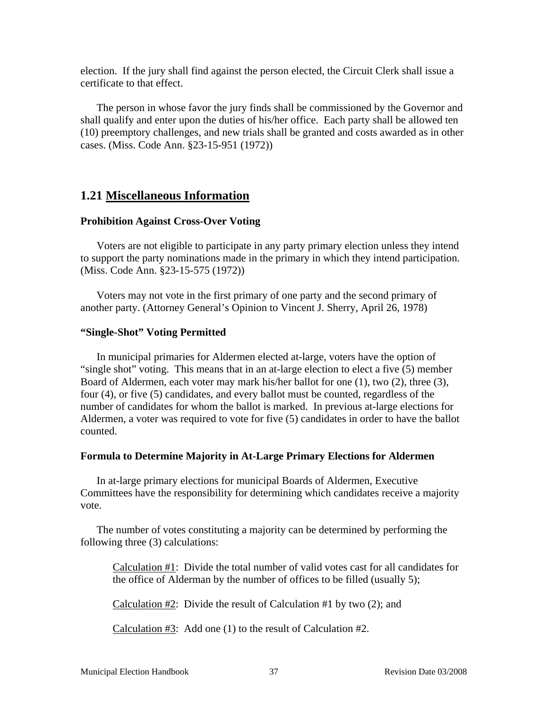election. If the jury shall find against the person elected, the Circuit Clerk shall issue a certificate to that effect.

The person in whose favor the jury finds shall be commissioned by the Governor and shall qualify and enter upon the duties of his/her office. Each party shall be allowed ten (10) preemptory challenges, and new trials shall be granted and costs awarded as in other cases. (Miss. Code Ann. §23-15-951 (1972))

# **1.21 Miscellaneous Information**

#### **Prohibition Against Cross-Over Voting**

Voters are not eligible to participate in any party primary election unless they intend to support the party nominations made in the primary in which they intend participation. (Miss. Code Ann. §23-15-575 (1972))

Voters may not vote in the first primary of one party and the second primary of another party. (Attorney General's Opinion to Vincent J. Sherry, April 26, 1978)

#### **"Single-Shot" Voting Permitted**

In municipal primaries for Aldermen elected at-large, voters have the option of "single shot" voting. This means that in an at-large election to elect a five (5) member Board of Aldermen, each voter may mark his/her ballot for one (1), two (2), three (3), four (4), or five (5) candidates, and every ballot must be counted, regardless of the number of candidates for whom the ballot is marked. In previous at-large elections for Aldermen, a voter was required to vote for five (5) candidates in order to have the ballot counted.

#### **Formula to Determine Majority in At-Large Primary Elections for Aldermen**

In at-large primary elections for municipal Boards of Aldermen, Executive Committees have the responsibility for determining which candidates receive a majority vote.

The number of votes constituting a majority can be determined by performing the following three (3) calculations:

 Calculation #1: Divide the total number of valid votes cast for all candidates for the office of Alderman by the number of offices to be filled (usually 5);

Calculation  $\#2$ : Divide the result of Calculation  $\#1$  by two (2); and

Calculation #3: Add one (1) to the result of Calculation #2.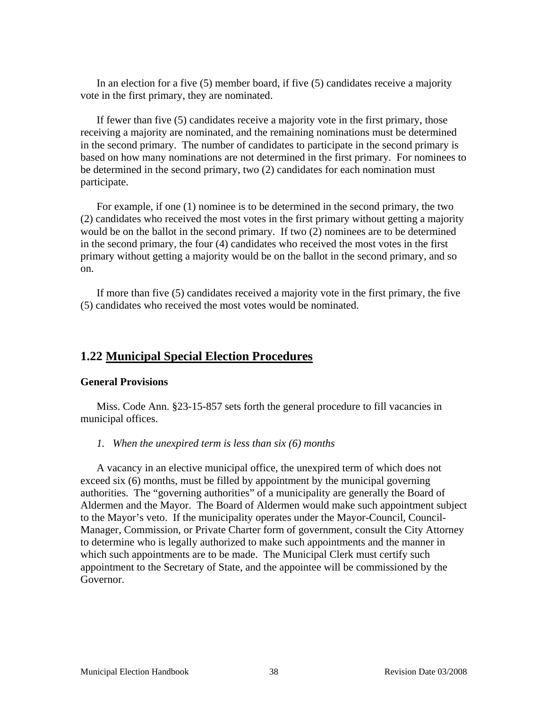In an election for a five (5) member board, if five (5) candidates receive a majority vote in the first primary, they are nominated.

If fewer than five (5) candidates receive a majority vote in the first primary, those receiving a majority are nominated, and the remaining nominations must be determined in the second primary. The number of candidates to participate in the second primary is based on how many nominations are not determined in the first primary. For nominees to be determined in the second primary, two (2) candidates for each nomination must participate.

For example, if one (1) nominee is to be determined in the second primary, the two (2) candidates who received the most votes in the first primary without getting a majority would be on the ballot in the second primary. If two (2) nominees are to be determined in the second primary, the four (4) candidates who received the most votes in the first primary without getting a majority would be on the ballot in the second primary, and so on.

If more than five (5) candidates received a majority vote in the first primary, the five (5) candidates who received the most votes would be nominated.

# **1.22 Municipal Special Election Procedures**

#### **General Provisions**

Miss. Code Ann. §23-15-857 sets forth the general procedure to fill vacancies in municipal offices.

#### *1. When the unexpired term is less than six (6) months*

A vacancy in an elective municipal office, the unexpired term of which does not exceed six (6) months, must be filled by appointment by the municipal governing authorities. The "governing authorities" of a municipality are generally the Board of Aldermen and the Mayor. The Board of Aldermen would make such appointment subject to the Mayor's veto. If the municipality operates under the Mayor-Council, Council-Manager, Commission, or Private Charter form of government, consult the City Attorney to determine who is legally authorized to make such appointments and the manner in which such appointments are to be made. The Municipal Clerk must certify such appointment to the Secretary of State, and the appointee will be commissioned by the Governor.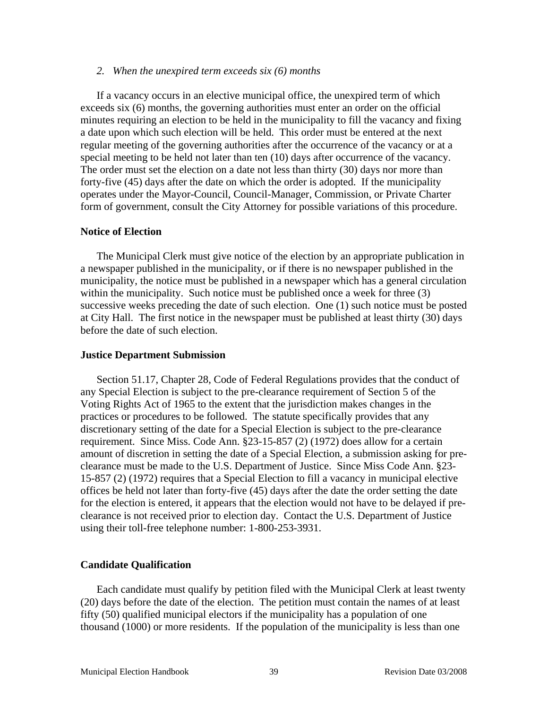#### *2. When the unexpired term exceeds six (6) months*

If a vacancy occurs in an elective municipal office, the unexpired term of which exceeds six (6) months, the governing authorities must enter an order on the official minutes requiring an election to be held in the municipality to fill the vacancy and fixing a date upon which such election will be held. This order must be entered at the next regular meeting of the governing authorities after the occurrence of the vacancy or at a special meeting to be held not later than ten (10) days after occurrence of the vacancy. The order must set the election on a date not less than thirty (30) days nor more than forty-five (45) days after the date on which the order is adopted. If the municipality operates under the Mayor-Council, Council-Manager, Commission, or Private Charter form of government, consult the City Attorney for possible variations of this procedure.

## **Notice of Election**

The Municipal Clerk must give notice of the election by an appropriate publication in a newspaper published in the municipality, or if there is no newspaper published in the municipality, the notice must be published in a newspaper which has a general circulation within the municipality. Such notice must be published once a week for three (3) successive weeks preceding the date of such election. One (1) such notice must be posted at City Hall. The first notice in the newspaper must be published at least thirty (30) days before the date of such election.

#### **Justice Department Submission**

Section 51.17, Chapter 28, Code of Federal Regulations provides that the conduct of any Special Election is subject to the pre-clearance requirement of Section 5 of the Voting Rights Act of 1965 to the extent that the jurisdiction makes changes in the practices or procedures to be followed. The statute specifically provides that any discretionary setting of the date for a Special Election is subject to the pre-clearance requirement. Since Miss. Code Ann. §23-15-857 (2) (1972) does allow for a certain amount of discretion in setting the date of a Special Election, a submission asking for preclearance must be made to the U.S. Department of Justice. Since Miss Code Ann. §23- 15-857 (2) (1972) requires that a Special Election to fill a vacancy in municipal elective offices be held not later than forty-five (45) days after the date the order setting the date for the election is entered, it appears that the election would not have to be delayed if preclearance is not received prior to election day. Contact the U.S. Department of Justice using their toll-free telephone number: 1-800-253-3931.

#### **Candidate Qualification**

Each candidate must qualify by petition filed with the Municipal Clerk at least twenty (20) days before the date of the election. The petition must contain the names of at least fifty (50) qualified municipal electors if the municipality has a population of one thousand (1000) or more residents. If the population of the municipality is less than one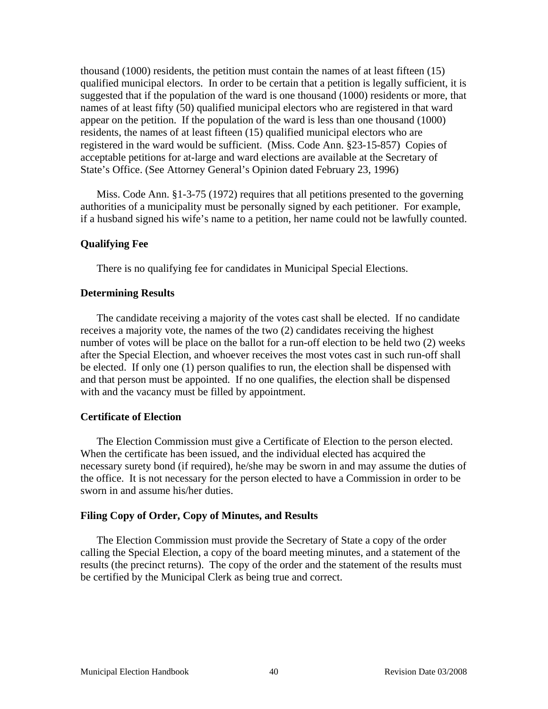thousand (1000) residents, the petition must contain the names of at least fifteen (15) qualified municipal electors. In order to be certain that a petition is legally sufficient, it is suggested that if the population of the ward is one thousand (1000) residents or more, that names of at least fifty (50) qualified municipal electors who are registered in that ward appear on the petition. If the population of the ward is less than one thousand (1000) residents, the names of at least fifteen (15) qualified municipal electors who are registered in the ward would be sufficient. (Miss. Code Ann. §23-15-857) Copies of acceptable petitions for at-large and ward elections are available at the Secretary of State's Office. (See Attorney General's Opinion dated February 23, 1996)

Miss. Code Ann. §1-3-75 (1972) requires that all petitions presented to the governing authorities of a municipality must be personally signed by each petitioner. For example, if a husband signed his wife's name to a petition, her name could not be lawfully counted.

#### **Qualifying Fee**

There is no qualifying fee for candidates in Municipal Special Elections.

#### **Determining Results**

The candidate receiving a majority of the votes cast shall be elected. If no candidate receives a majority vote, the names of the two (2) candidates receiving the highest number of votes will be place on the ballot for a run-off election to be held two (2) weeks after the Special Election, and whoever receives the most votes cast in such run-off shall be elected. If only one (1) person qualifies to run, the election shall be dispensed with and that person must be appointed. If no one qualifies, the election shall be dispensed with and the vacancy must be filled by appointment.

#### **Certificate of Election**

The Election Commission must give a Certificate of Election to the person elected. When the certificate has been issued, and the individual elected has acquired the necessary surety bond (if required), he/she may be sworn in and may assume the duties of the office. It is not necessary for the person elected to have a Commission in order to be sworn in and assume his/her duties.

#### **Filing Copy of Order, Copy of Minutes, and Results**

The Election Commission must provide the Secretary of State a copy of the order calling the Special Election, a copy of the board meeting minutes, and a statement of the results (the precinct returns). The copy of the order and the statement of the results must be certified by the Municipal Clerk as being true and correct.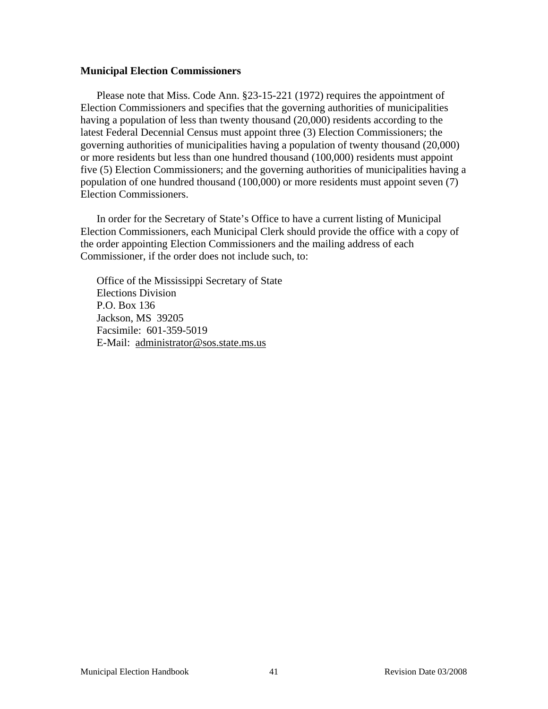#### **Municipal Election Commissioners**

Please note that Miss. Code Ann. §23-15-221 (1972) requires the appointment of Election Commissioners and specifies that the governing authorities of municipalities having a population of less than twenty thousand (20,000) residents according to the latest Federal Decennial Census must appoint three (3) Election Commissioners; the governing authorities of municipalities having a population of twenty thousand (20,000) or more residents but less than one hundred thousand (100,000) residents must appoint five (5) Election Commissioners; and the governing authorities of municipalities having a population of one hundred thousand (100,000) or more residents must appoint seven (7) Election Commissioners.

In order for the Secretary of State's Office to have a current listing of Municipal Election Commissioners, each Municipal Clerk should provide the office with a copy of the order appointing Election Commissioners and the mailing address of each Commissioner, if the order does not include such, to:

Office of the Mississippi Secretary of State Elections Division P.O. Box 136 Jackson, MS 39205 Facsimile: 601-359-5019 E-Mail: administrator@sos.state.ms.us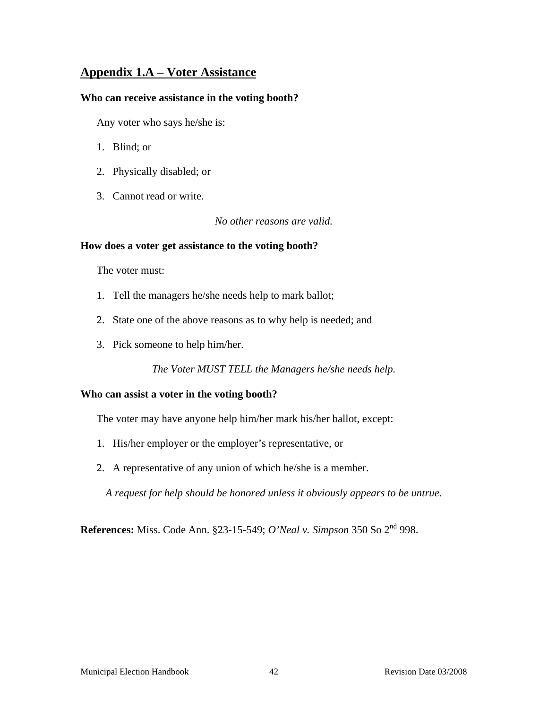# **Appendix 1.A – Voter Assistance**

#### **Who can receive assistance in the voting booth?**

Any voter who says he/she is:

- 1. Blind; or
- 2. Physically disabled; or
- 3. Cannot read or write.

*No other reasons are valid.* 

#### **How does a voter get assistance to the voting booth?**

The voter must:

- 1. Tell the managers he/she needs help to mark ballot;
- 2. State one of the above reasons as to why help is needed; and
- 3. Pick someone to help him/her.

*The Voter MUST TELL the Managers he/she needs help.* 

#### **Who can assist a voter in the voting booth?**

The voter may have anyone help him/her mark his/her ballot, except:

- 1. His/her employer or the employer's representative, or
- 2. A representative of any union of which he/she is a member.

*A request for help should be honored unless it obviously appears to be untrue.* 

**References:** Miss. Code Ann. §23-15-549; *O'Neal v. Simpson* 350 So 2nd 998.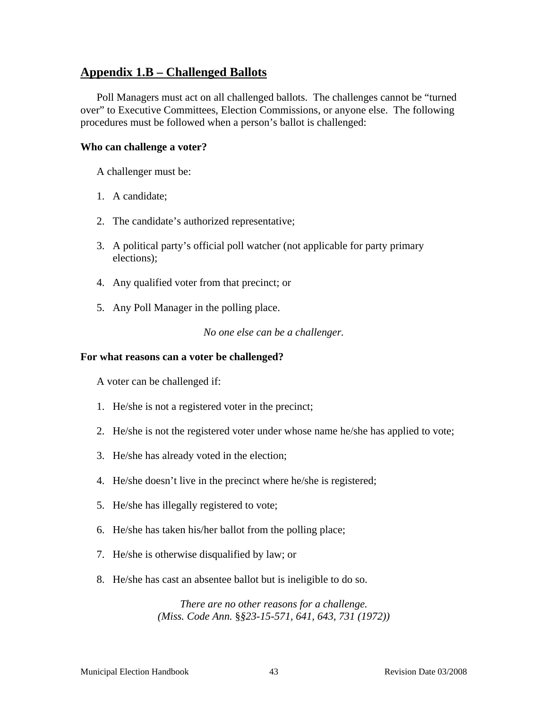## **Appendix 1.B – Challenged Ballots**

Poll Managers must act on all challenged ballots. The challenges cannot be "turned over" to Executive Committees, Election Commissions, or anyone else. The following procedures must be followed when a person's ballot is challenged:

#### **Who can challenge a voter?**

A challenger must be:

- 1. A candidate;
- 2. The candidate's authorized representative;
- 3. A political party's official poll watcher (not applicable for party primary elections);
- 4. Any qualified voter from that precinct; or
- 5. Any Poll Manager in the polling place.

*No one else can be a challenger.* 

#### **For what reasons can a voter be challenged?**

A voter can be challenged if:

- 1. He/she is not a registered voter in the precinct;
- 2. He/she is not the registered voter under whose name he/she has applied to vote;
- 3. He/she has already voted in the election;
- 4. He/she doesn't live in the precinct where he/she is registered;
- 5. He/she has illegally registered to vote;
- 6. He/she has taken his/her ballot from the polling place;
- 7. He/she is otherwise disqualified by law; or
- 8. He/she has cast an absentee ballot but is ineligible to do so.

*There are no other reasons for a challenge. (Miss. Code Ann.* §*§23-15-571, 641, 643, 731 (1972))*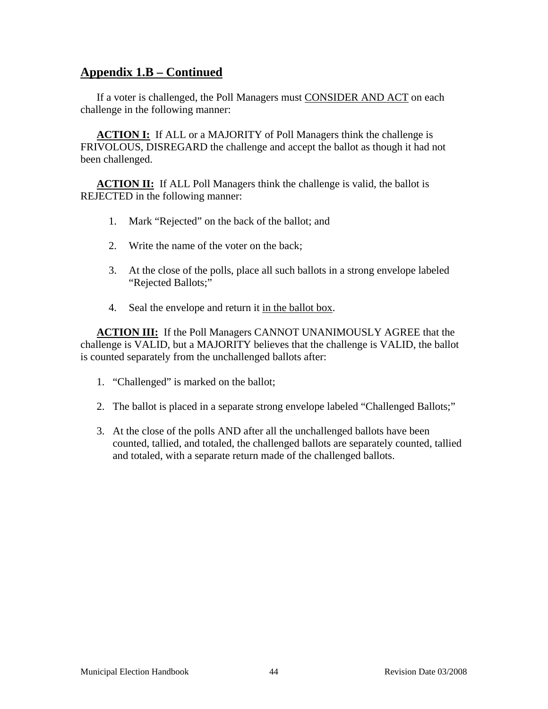# **Appendix 1.B – Continued**

If a voter is challenged, the Poll Managers must CONSIDER AND ACT on each challenge in the following manner:

**ACTION I:** If ALL or a MAJORITY of Poll Managers think the challenge is FRIVOLOUS, DISREGARD the challenge and accept the ballot as though it had not been challenged.

**ACTION II:** If ALL Poll Managers think the challenge is valid, the ballot is REJECTED in the following manner:

- 1. Mark "Rejected" on the back of the ballot; and
- 2. Write the name of the voter on the back;
- 3. At the close of the polls, place all such ballots in a strong envelope labeled "Rejected Ballots;"
- 4. Seal the envelope and return it in the ballot box.

**ACTION III:** If the Poll Managers CANNOT UNANIMOUSLY AGREE that the challenge is VALID, but a MAJORITY believes that the challenge is VALID, the ballot is counted separately from the unchallenged ballots after:

- 1. "Challenged" is marked on the ballot;
- 2. The ballot is placed in a separate strong envelope labeled "Challenged Ballots;"
- 3. At the close of the polls AND after all the unchallenged ballots have been counted, tallied, and totaled, the challenged ballots are separately counted, tallied and totaled, with a separate return made of the challenged ballots.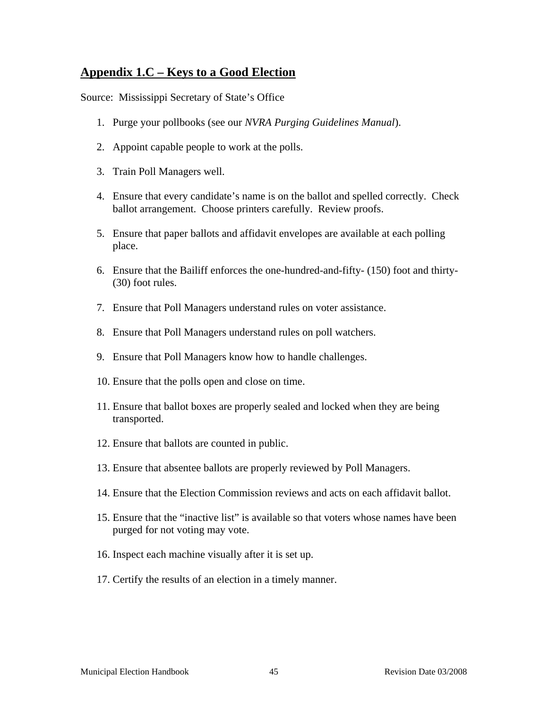# **Appendix 1.C – Keys to a Good Election**

Source: Mississippi Secretary of State's Office

- 1. Purge your pollbooks (see our *NVRA Purging Guidelines Manual*).
- 2. Appoint capable people to work at the polls.
- 3. Train Poll Managers well.
- 4. Ensure that every candidate's name is on the ballot and spelled correctly. Check ballot arrangement. Choose printers carefully. Review proofs.
- 5. Ensure that paper ballots and affidavit envelopes are available at each polling place.
- 6. Ensure that the Bailiff enforces the one-hundred-and-fifty- (150) foot and thirty- (30) foot rules.
- 7. Ensure that Poll Managers understand rules on voter assistance.
- 8. Ensure that Poll Managers understand rules on poll watchers.
- 9. Ensure that Poll Managers know how to handle challenges.
- 10. Ensure that the polls open and close on time.
- 11. Ensure that ballot boxes are properly sealed and locked when they are being transported.
- 12. Ensure that ballots are counted in public.
- 13. Ensure that absentee ballots are properly reviewed by Poll Managers.
- 14. Ensure that the Election Commission reviews and acts on each affidavit ballot.
- 15. Ensure that the "inactive list" is available so that voters whose names have been purged for not voting may vote.
- 16. Inspect each machine visually after it is set up.
- 17. Certify the results of an election in a timely manner.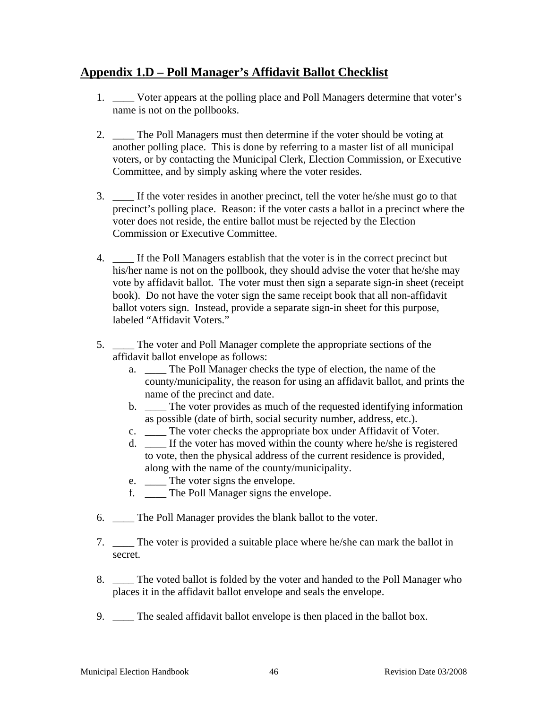# **Appendix 1.D – Poll Manager's Affidavit Ballot Checklist**

- 1. \_\_\_\_ Voter appears at the polling place and Poll Managers determine that voter's name is not on the pollbooks.
- 2. \_\_\_\_ The Poll Managers must then determine if the voter should be voting at another polling place. This is done by referring to a master list of all municipal voters, or by contacting the Municipal Clerk, Election Commission, or Executive Committee, and by simply asking where the voter resides.
- 3. \_\_\_\_ If the voter resides in another precinct, tell the voter he/she must go to that precinct's polling place. Reason: if the voter casts a ballot in a precinct where the voter does not reside, the entire ballot must be rejected by the Election Commission or Executive Committee.
- 4. \_\_\_\_ If the Poll Managers establish that the voter is in the correct precinct but his/her name is not on the pollbook, they should advise the voter that he/she may vote by affidavit ballot. The voter must then sign a separate sign-in sheet (receipt book). Do not have the voter sign the same receipt book that all non-affidavit ballot voters sign. Instead, provide a separate sign-in sheet for this purpose, labeled "Affidavit Voters."
- 5. \_\_\_\_ The voter and Poll Manager complete the appropriate sections of the affidavit ballot envelope as follows:
	- a. \_\_\_\_ The Poll Manager checks the type of election, the name of the county/municipality, the reason for using an affidavit ballot, and prints the name of the precinct and date.
	- b. \_\_\_\_ The voter provides as much of the requested identifying information as possible (date of birth, social security number, address, etc.).
	- c. \_\_\_\_ The voter checks the appropriate box under Affidavit of Voter.
	- d. \_\_\_\_ If the voter has moved within the county where he/she is registered to vote, then the physical address of the current residence is provided, along with the name of the county/municipality.
	- e. \_\_\_\_\_ The voter signs the envelope.
	- f. \_\_\_\_ The Poll Manager signs the envelope.
- 6. \_\_\_\_ The Poll Manager provides the blank ballot to the voter.
- 7. The voter is provided a suitable place where he/she can mark the ballot in secret.
- 8. \_\_\_\_ The voted ballot is folded by the voter and handed to the Poll Manager who places it in the affidavit ballot envelope and seals the envelope.
- 9. The sealed affidavit ballot envelope is then placed in the ballot box.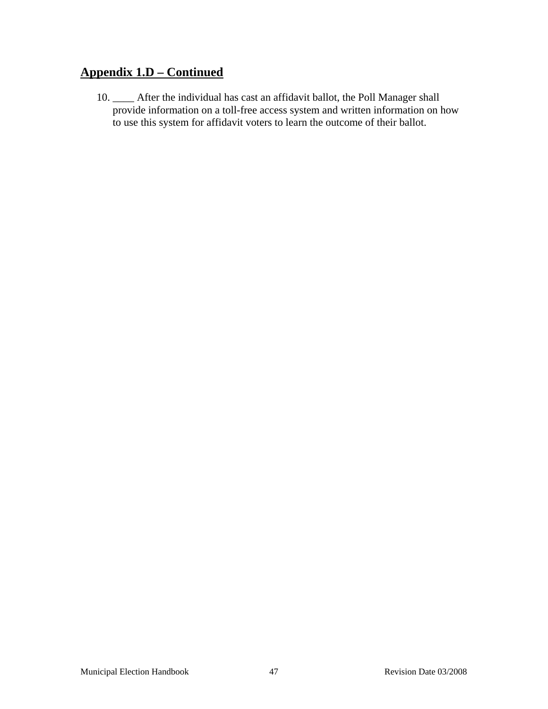# **Appendix 1.D – Continued**

10. \_\_\_\_ After the individual has cast an affidavit ballot, the Poll Manager shall provide information on a toll-free access system and written information on how to use this system for affidavit voters to learn the outcome of their ballot.